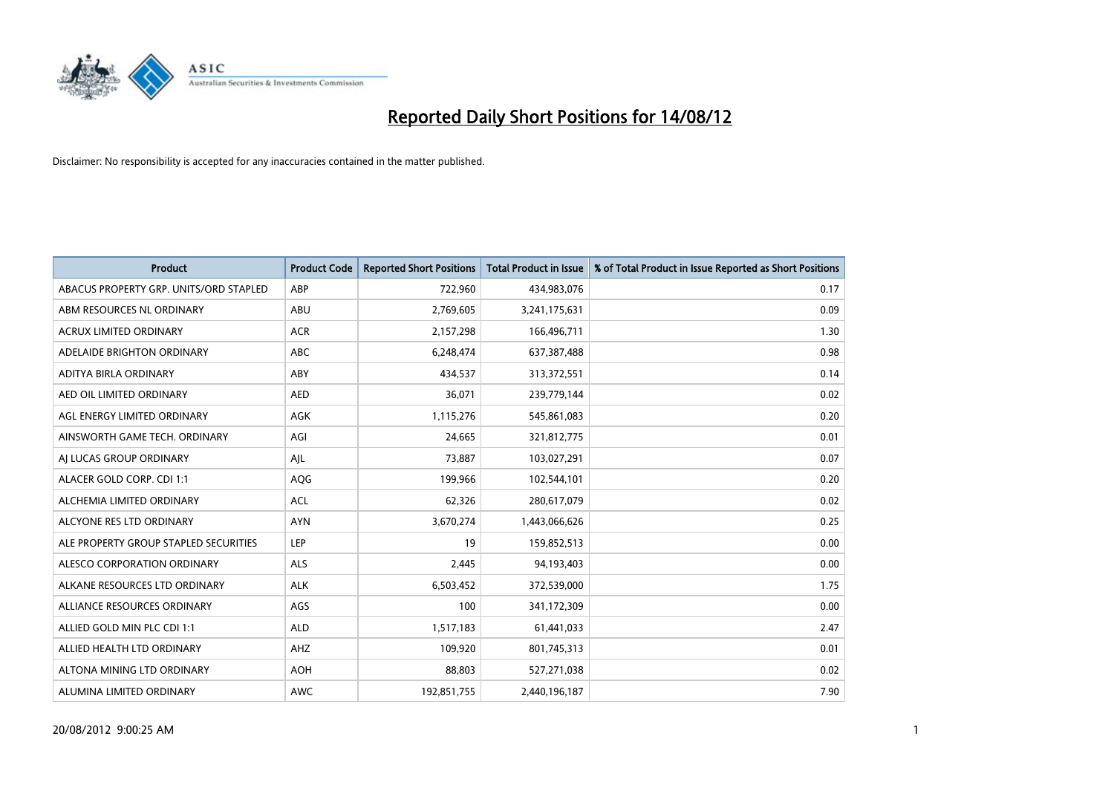

| <b>Product</b>                         | <b>Product Code</b> | <b>Reported Short Positions</b> | <b>Total Product in Issue</b> | % of Total Product in Issue Reported as Short Positions |
|----------------------------------------|---------------------|---------------------------------|-------------------------------|---------------------------------------------------------|
| ABACUS PROPERTY GRP. UNITS/ORD STAPLED | ABP                 | 722,960                         | 434,983,076                   | 0.17                                                    |
| ABM RESOURCES NL ORDINARY              | ABU                 | 2,769,605                       | 3,241,175,631                 | 0.09                                                    |
| <b>ACRUX LIMITED ORDINARY</b>          | <b>ACR</b>          | 2,157,298                       | 166,496,711                   | 1.30                                                    |
| ADELAIDE BRIGHTON ORDINARY             | <b>ABC</b>          | 6,248,474                       | 637,387,488                   | 0.98                                                    |
| <b>ADITYA BIRLA ORDINARY</b>           | ABY                 | 434,537                         | 313,372,551                   | 0.14                                                    |
| AED OIL LIMITED ORDINARY               | <b>AED</b>          | 36,071                          | 239,779,144                   | 0.02                                                    |
| AGL ENERGY LIMITED ORDINARY            | <b>AGK</b>          | 1,115,276                       | 545,861,083                   | 0.20                                                    |
| AINSWORTH GAME TECH. ORDINARY          | AGI                 | 24,665                          | 321,812,775                   | 0.01                                                    |
| AI LUCAS GROUP ORDINARY                | AJL                 | 73,887                          | 103,027,291                   | 0.07                                                    |
| ALACER GOLD CORP. CDI 1:1              | AQG                 | 199,966                         | 102,544,101                   | 0.20                                                    |
| ALCHEMIA LIMITED ORDINARY              | <b>ACL</b>          | 62,326                          | 280,617,079                   | 0.02                                                    |
| ALCYONE RES LTD ORDINARY               | <b>AYN</b>          | 3,670,274                       | 1,443,066,626                 | 0.25                                                    |
| ALE PROPERTY GROUP STAPLED SECURITIES  | LEP                 | 19                              | 159,852,513                   | 0.00                                                    |
| ALESCO CORPORATION ORDINARY            | ALS                 | 2,445                           | 94,193,403                    | 0.00                                                    |
| ALKANE RESOURCES LTD ORDINARY          | <b>ALK</b>          | 6,503,452                       | 372,539,000                   | 1.75                                                    |
| ALLIANCE RESOURCES ORDINARY            | AGS                 | 100                             | 341,172,309                   | 0.00                                                    |
| ALLIED GOLD MIN PLC CDI 1:1            | <b>ALD</b>          | 1,517,183                       | 61,441,033                    | 2.47                                                    |
| ALLIED HEALTH LTD ORDINARY             | <b>AHZ</b>          | 109,920                         | 801,745,313                   | 0.01                                                    |
| ALTONA MINING LTD ORDINARY             | <b>AOH</b>          | 88,803                          | 527,271,038                   | 0.02                                                    |
| ALUMINA LIMITED ORDINARY               | <b>AWC</b>          | 192,851,755                     | 2,440,196,187                 | 7.90                                                    |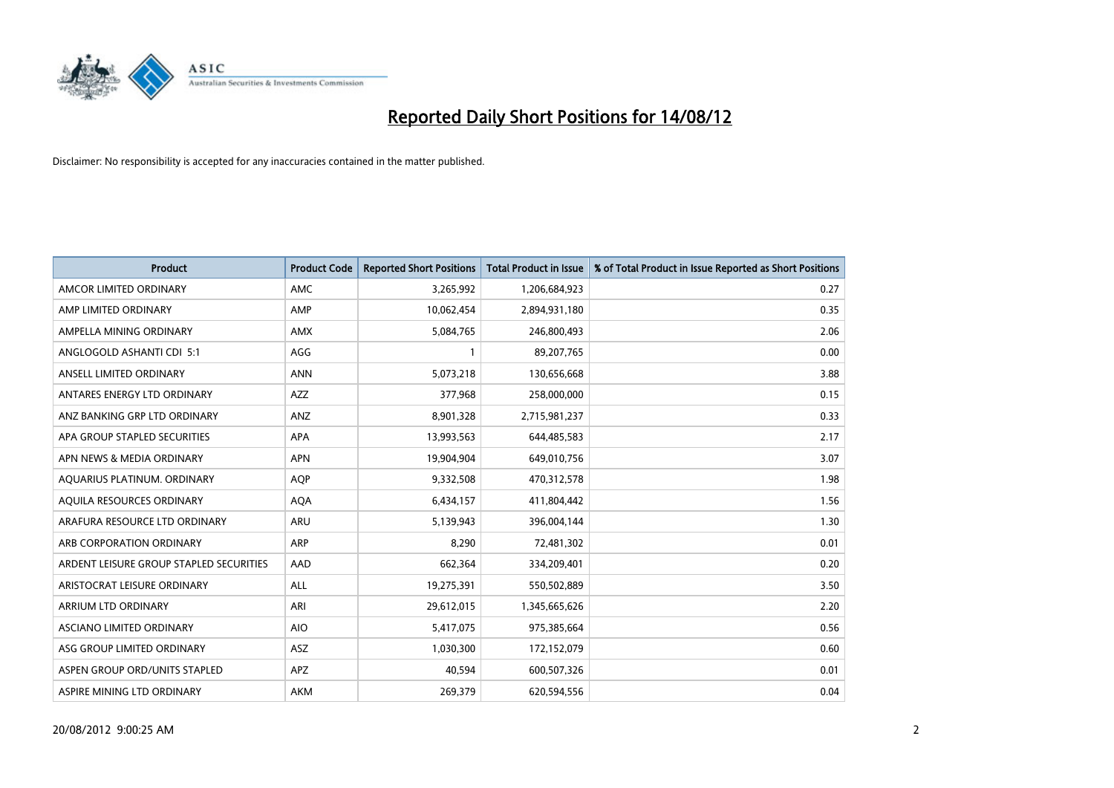

| <b>Product</b>                          | <b>Product Code</b> | <b>Reported Short Positions</b> | <b>Total Product in Issue</b> | % of Total Product in Issue Reported as Short Positions |
|-----------------------------------------|---------------------|---------------------------------|-------------------------------|---------------------------------------------------------|
| AMCOR LIMITED ORDINARY                  | <b>AMC</b>          | 3,265,992                       | 1,206,684,923                 | 0.27                                                    |
| AMP LIMITED ORDINARY                    | AMP                 | 10,062,454                      | 2,894,931,180                 | 0.35                                                    |
| AMPELLA MINING ORDINARY                 | <b>AMX</b>          | 5,084,765                       | 246,800,493                   | 2.06                                                    |
| ANGLOGOLD ASHANTI CDI 5:1               | AGG                 | $\mathbf{1}$                    | 89,207,765                    | 0.00                                                    |
| ANSELL LIMITED ORDINARY                 | <b>ANN</b>          | 5,073,218                       | 130,656,668                   | 3.88                                                    |
| ANTARES ENERGY LTD ORDINARY             | <b>AZZ</b>          | 377,968                         | 258,000,000                   | 0.15                                                    |
| ANZ BANKING GRP LTD ORDINARY            | <b>ANZ</b>          | 8,901,328                       | 2,715,981,237                 | 0.33                                                    |
| APA GROUP STAPLED SECURITIES            | <b>APA</b>          | 13,993,563                      | 644,485,583                   | 2.17                                                    |
| APN NEWS & MEDIA ORDINARY               | <b>APN</b>          | 19,904,904                      | 649,010,756                   | 3.07                                                    |
| AQUARIUS PLATINUM. ORDINARY             | <b>AOP</b>          | 9,332,508                       | 470,312,578                   | 1.98                                                    |
| AQUILA RESOURCES ORDINARY               | <b>AQA</b>          | 6,434,157                       | 411,804,442                   | 1.56                                                    |
| ARAFURA RESOURCE LTD ORDINARY           | <b>ARU</b>          | 5,139,943                       | 396,004,144                   | 1.30                                                    |
| ARB CORPORATION ORDINARY                | <b>ARP</b>          | 8,290                           | 72,481,302                    | 0.01                                                    |
| ARDENT LEISURE GROUP STAPLED SECURITIES | AAD                 | 662,364                         | 334,209,401                   | 0.20                                                    |
| ARISTOCRAT LEISURE ORDINARY             | <b>ALL</b>          | 19,275,391                      | 550,502,889                   | 3.50                                                    |
| ARRIUM LTD ORDINARY                     | ARI                 | 29,612,015                      | 1,345,665,626                 | 2.20                                                    |
| ASCIANO LIMITED ORDINARY                | <b>AIO</b>          | 5,417,075                       | 975,385,664                   | 0.56                                                    |
| ASG GROUP LIMITED ORDINARY              | <b>ASZ</b>          | 1,030,300                       | 172,152,079                   | 0.60                                                    |
| ASPEN GROUP ORD/UNITS STAPLED           | <b>APZ</b>          | 40,594                          | 600,507,326                   | 0.01                                                    |
| ASPIRE MINING LTD ORDINARY              | <b>AKM</b>          | 269,379                         | 620,594,556                   | 0.04                                                    |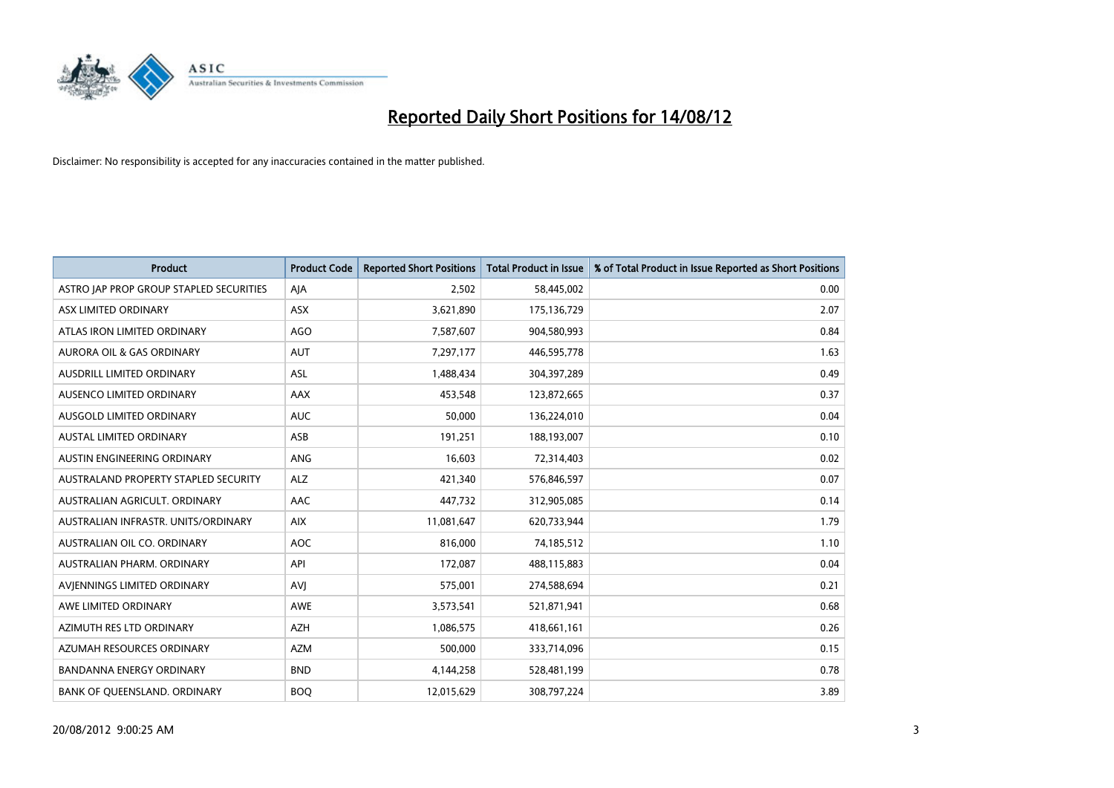

| <b>Product</b>                          | <b>Product Code</b> | <b>Reported Short Positions</b> | <b>Total Product in Issue</b> | % of Total Product in Issue Reported as Short Positions |
|-----------------------------------------|---------------------|---------------------------------|-------------------------------|---------------------------------------------------------|
| ASTRO JAP PROP GROUP STAPLED SECURITIES | AIA                 | 2,502                           | 58,445,002                    | 0.00                                                    |
| ASX LIMITED ORDINARY                    | <b>ASX</b>          | 3,621,890                       | 175,136,729                   | 2.07                                                    |
| ATLAS IRON LIMITED ORDINARY             | AGO                 | 7,587,607                       | 904,580,993                   | 0.84                                                    |
| AURORA OIL & GAS ORDINARY               | <b>AUT</b>          | 7,297,177                       | 446,595,778                   | 1.63                                                    |
| AUSDRILL LIMITED ORDINARY               | <b>ASL</b>          | 1,488,434                       | 304,397,289                   | 0.49                                                    |
| AUSENCO LIMITED ORDINARY                | <b>AAX</b>          | 453,548                         | 123,872,665                   | 0.37                                                    |
| AUSGOLD LIMITED ORDINARY                | <b>AUC</b>          | 50,000                          | 136,224,010                   | 0.04                                                    |
| <b>AUSTAL LIMITED ORDINARY</b>          | ASB                 | 191,251                         | 188,193,007                   | 0.10                                                    |
| AUSTIN ENGINEERING ORDINARY             | <b>ANG</b>          | 16,603                          | 72,314,403                    | 0.02                                                    |
| AUSTRALAND PROPERTY STAPLED SECURITY    | <b>ALZ</b>          | 421,340                         | 576,846,597                   | 0.07                                                    |
| AUSTRALIAN AGRICULT. ORDINARY           | <b>AAC</b>          | 447,732                         | 312,905,085                   | 0.14                                                    |
| AUSTRALIAN INFRASTR. UNITS/ORDINARY     | <b>AIX</b>          | 11,081,647                      | 620,733,944                   | 1.79                                                    |
| AUSTRALIAN OIL CO. ORDINARY             | <b>AOC</b>          | 816,000                         | 74,185,512                    | 1.10                                                    |
| AUSTRALIAN PHARM, ORDINARY              | API                 | 172,087                         | 488,115,883                   | 0.04                                                    |
| AVIENNINGS LIMITED ORDINARY             | AVI                 | 575,001                         | 274,588,694                   | 0.21                                                    |
| AWE LIMITED ORDINARY                    | <b>AWE</b>          | 3,573,541                       | 521,871,941                   | 0.68                                                    |
| AZIMUTH RES LTD ORDINARY                | <b>AZH</b>          | 1,086,575                       | 418,661,161                   | 0.26                                                    |
| AZUMAH RESOURCES ORDINARY               | <b>AZM</b>          | 500,000                         | 333,714,096                   | 0.15                                                    |
| BANDANNA ENERGY ORDINARY                | <b>BND</b>          | 4,144,258                       | 528,481,199                   | 0.78                                                    |
| BANK OF QUEENSLAND. ORDINARY            | <b>BOQ</b>          | 12,015,629                      | 308,797,224                   | 3.89                                                    |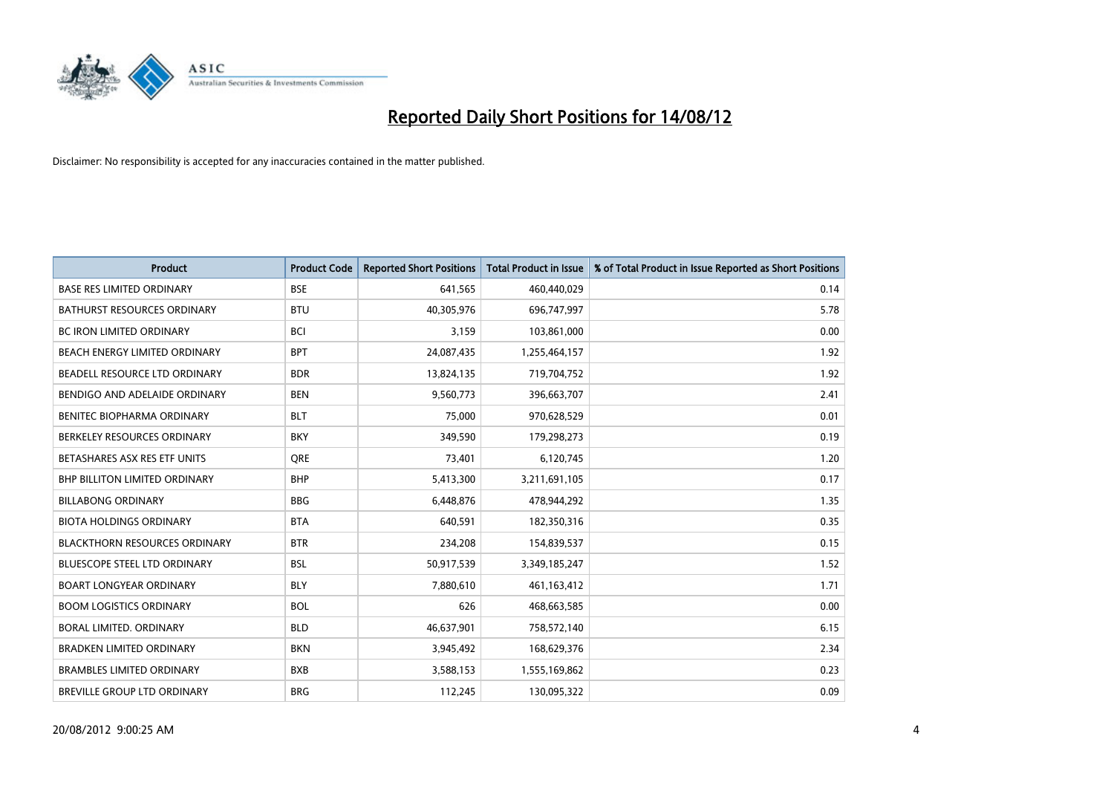

| <b>Product</b>                       | <b>Product Code</b> | <b>Reported Short Positions</b> | <b>Total Product in Issue</b> | % of Total Product in Issue Reported as Short Positions |
|--------------------------------------|---------------------|---------------------------------|-------------------------------|---------------------------------------------------------|
| <b>BASE RES LIMITED ORDINARY</b>     | <b>BSE</b>          | 641,565                         | 460,440,029                   | 0.14                                                    |
| BATHURST RESOURCES ORDINARY          | <b>BTU</b>          | 40,305,976                      | 696,747,997                   | 5.78                                                    |
| <b>BC IRON LIMITED ORDINARY</b>      | <b>BCI</b>          | 3,159                           | 103,861,000                   | 0.00                                                    |
| BEACH ENERGY LIMITED ORDINARY        | <b>BPT</b>          | 24,087,435                      | 1,255,464,157                 | 1.92                                                    |
| BEADELL RESOURCE LTD ORDINARY        | <b>BDR</b>          | 13,824,135                      | 719,704,752                   | 1.92                                                    |
| BENDIGO AND ADELAIDE ORDINARY        | <b>BEN</b>          | 9,560,773                       | 396,663,707                   | 2.41                                                    |
| BENITEC BIOPHARMA ORDINARY           | <b>BLT</b>          | 75.000                          | 970,628,529                   | 0.01                                                    |
| BERKELEY RESOURCES ORDINARY          | <b>BKY</b>          | 349,590                         | 179,298,273                   | 0.19                                                    |
| BETASHARES ASX RES ETF UNITS         | <b>ORE</b>          | 73,401                          | 6,120,745                     | 1.20                                                    |
| <b>BHP BILLITON LIMITED ORDINARY</b> | <b>BHP</b>          | 5,413,300                       | 3,211,691,105                 | 0.17                                                    |
| <b>BILLABONG ORDINARY</b>            | <b>BBG</b>          | 6,448,876                       | 478,944,292                   | 1.35                                                    |
| <b>BIOTA HOLDINGS ORDINARY</b>       | <b>BTA</b>          | 640,591                         | 182,350,316                   | 0.35                                                    |
| <b>BLACKTHORN RESOURCES ORDINARY</b> | <b>BTR</b>          | 234,208                         | 154,839,537                   | 0.15                                                    |
| <b>BLUESCOPE STEEL LTD ORDINARY</b>  | <b>BSL</b>          | 50,917,539                      | 3,349,185,247                 | 1.52                                                    |
| <b>BOART LONGYEAR ORDINARY</b>       | <b>BLY</b>          | 7,880,610                       | 461,163,412                   | 1.71                                                    |
| <b>BOOM LOGISTICS ORDINARY</b>       | <b>BOL</b>          | 626                             | 468,663,585                   | 0.00                                                    |
| BORAL LIMITED, ORDINARY              | <b>BLD</b>          | 46,637,901                      | 758,572,140                   | 6.15                                                    |
| BRADKEN LIMITED ORDINARY             | <b>BKN</b>          | 3,945,492                       | 168,629,376                   | 2.34                                                    |
| <b>BRAMBLES LIMITED ORDINARY</b>     | <b>BXB</b>          | 3,588,153                       | 1,555,169,862                 | 0.23                                                    |
| <b>BREVILLE GROUP LTD ORDINARY</b>   | <b>BRG</b>          | 112,245                         | 130,095,322                   | 0.09                                                    |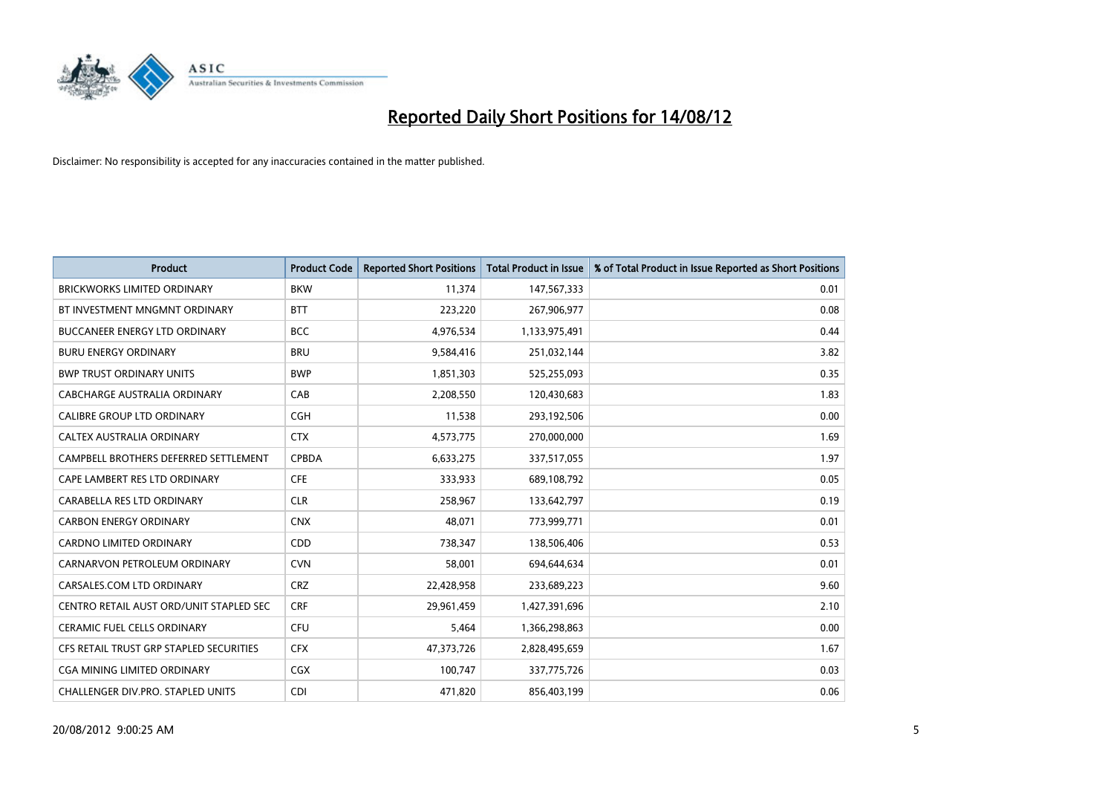

| <b>Product</b>                          | <b>Product Code</b> | <b>Reported Short Positions</b> | <b>Total Product in Issue</b> | % of Total Product in Issue Reported as Short Positions |
|-----------------------------------------|---------------------|---------------------------------|-------------------------------|---------------------------------------------------------|
| <b>BRICKWORKS LIMITED ORDINARY</b>      | <b>BKW</b>          | 11,374                          | 147,567,333                   | 0.01                                                    |
| BT INVESTMENT MNGMNT ORDINARY           | <b>BTT</b>          | 223,220                         | 267,906,977                   | 0.08                                                    |
| BUCCANEER ENERGY LTD ORDINARY           | <b>BCC</b>          | 4,976,534                       | 1,133,975,491                 | 0.44                                                    |
| <b>BURU ENERGY ORDINARY</b>             | <b>BRU</b>          | 9,584,416                       | 251,032,144                   | 3.82                                                    |
| <b>BWP TRUST ORDINARY UNITS</b>         | <b>BWP</b>          | 1,851,303                       | 525,255,093                   | 0.35                                                    |
| CABCHARGE AUSTRALIA ORDINARY            | CAB                 | 2,208,550                       | 120,430,683                   | 1.83                                                    |
| CALIBRE GROUP LTD ORDINARY              | <b>CGH</b>          | 11,538                          | 293,192,506                   | 0.00                                                    |
| CALTEX AUSTRALIA ORDINARY               | <b>CTX</b>          | 4,573,775                       | 270,000,000                   | 1.69                                                    |
| CAMPBELL BROTHERS DEFERRED SETTLEMENT   | <b>CPBDA</b>        | 6,633,275                       | 337,517,055                   | 1.97                                                    |
| CAPE LAMBERT RES LTD ORDINARY           | <b>CFE</b>          | 333,933                         | 689,108,792                   | 0.05                                                    |
| CARABELLA RES LTD ORDINARY              | <b>CLR</b>          | 258,967                         | 133,642,797                   | 0.19                                                    |
| <b>CARBON ENERGY ORDINARY</b>           | <b>CNX</b>          | 48,071                          | 773,999,771                   | 0.01                                                    |
| <b>CARDNO LIMITED ORDINARY</b>          | <b>CDD</b>          | 738,347                         | 138,506,406                   | 0.53                                                    |
| CARNARVON PETROLEUM ORDINARY            | <b>CVN</b>          | 58,001                          | 694,644,634                   | 0.01                                                    |
| CARSALES.COM LTD ORDINARY               | <b>CRZ</b>          | 22,428,958                      | 233,689,223                   | 9.60                                                    |
| CENTRO RETAIL AUST ORD/UNIT STAPLED SEC | <b>CRF</b>          | 29,961,459                      | 1,427,391,696                 | 2.10                                                    |
| <b>CERAMIC FUEL CELLS ORDINARY</b>      | CFU                 | 5,464                           | 1,366,298,863                 | 0.00                                                    |
| CFS RETAIL TRUST GRP STAPLED SECURITIES | <b>CFX</b>          | 47,373,726                      | 2,828,495,659                 | 1.67                                                    |
| <b>CGA MINING LIMITED ORDINARY</b>      | <b>CGX</b>          | 100,747                         | 337,775,726                   | 0.03                                                    |
| CHALLENGER DIV.PRO. STAPLED UNITS       | <b>CDI</b>          | 471,820                         | 856,403,199                   | 0.06                                                    |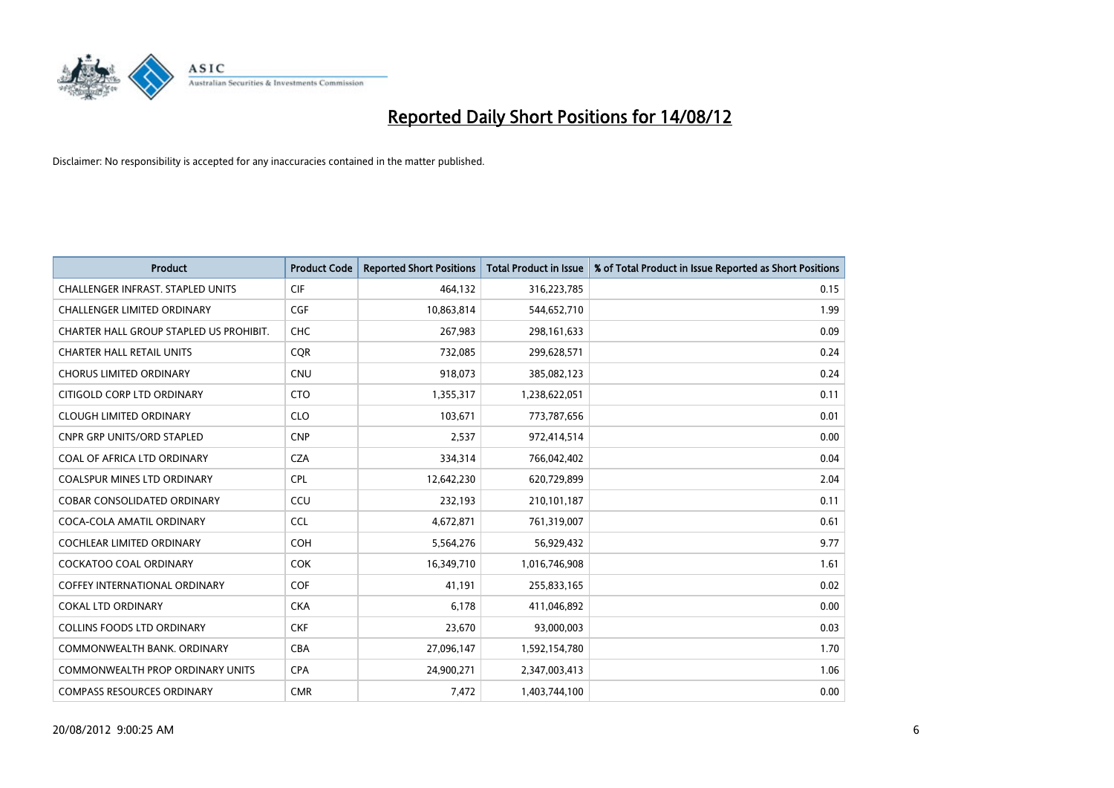

| <b>Product</b>                           | <b>Product Code</b> | <b>Reported Short Positions</b> | <b>Total Product in Issue</b> | % of Total Product in Issue Reported as Short Positions |
|------------------------------------------|---------------------|---------------------------------|-------------------------------|---------------------------------------------------------|
| <b>CHALLENGER INFRAST, STAPLED UNITS</b> | <b>CIF</b>          | 464,132                         | 316,223,785                   | 0.15                                                    |
| <b>CHALLENGER LIMITED ORDINARY</b>       | <b>CGF</b>          | 10,863,814                      | 544,652,710                   | 1.99                                                    |
| CHARTER HALL GROUP STAPLED US PROHIBIT.  | <b>CHC</b>          | 267,983                         | 298,161,633                   | 0.09                                                    |
| <b>CHARTER HALL RETAIL UNITS</b>         | <b>COR</b>          | 732,085                         | 299,628,571                   | 0.24                                                    |
| <b>CHORUS LIMITED ORDINARY</b>           | <b>CNU</b>          | 918,073                         | 385,082,123                   | 0.24                                                    |
| CITIGOLD CORP LTD ORDINARY               | <b>CTO</b>          | 1,355,317                       | 1,238,622,051                 | 0.11                                                    |
| <b>CLOUGH LIMITED ORDINARY</b>           | <b>CLO</b>          | 103.671                         | 773,787,656                   | 0.01                                                    |
| <b>CNPR GRP UNITS/ORD STAPLED</b>        | <b>CNP</b>          | 2,537                           | 972,414,514                   | 0.00                                                    |
| COAL OF AFRICA LTD ORDINARY              | <b>CZA</b>          | 334,314                         | 766,042,402                   | 0.04                                                    |
| <b>COALSPUR MINES LTD ORDINARY</b>       | <b>CPL</b>          | 12,642,230                      | 620,729,899                   | 2.04                                                    |
| <b>COBAR CONSOLIDATED ORDINARY</b>       | CCU                 | 232,193                         | 210,101,187                   | 0.11                                                    |
| COCA-COLA AMATIL ORDINARY                | <b>CCL</b>          | 4,672,871                       | 761,319,007                   | 0.61                                                    |
| <b>COCHLEAR LIMITED ORDINARY</b>         | <b>COH</b>          | 5,564,276                       | 56,929,432                    | 9.77                                                    |
| <b>COCKATOO COAL ORDINARY</b>            | <b>COK</b>          | 16,349,710                      | 1,016,746,908                 | 1.61                                                    |
| <b>COFFEY INTERNATIONAL ORDINARY</b>     | <b>COF</b>          | 41,191                          | 255,833,165                   | 0.02                                                    |
| <b>COKAL LTD ORDINARY</b>                | <b>CKA</b>          | 6.178                           | 411,046,892                   | 0.00                                                    |
| <b>COLLINS FOODS LTD ORDINARY</b>        | <b>CKF</b>          | 23,670                          | 93,000,003                    | 0.03                                                    |
| COMMONWEALTH BANK, ORDINARY              | <b>CBA</b>          | 27,096,147                      | 1,592,154,780                 | 1.70                                                    |
| <b>COMMONWEALTH PROP ORDINARY UNITS</b>  | <b>CPA</b>          | 24,900,271                      | 2,347,003,413                 | 1.06                                                    |
| <b>COMPASS RESOURCES ORDINARY</b>        | <b>CMR</b>          | 7,472                           | 1,403,744,100                 | 0.00                                                    |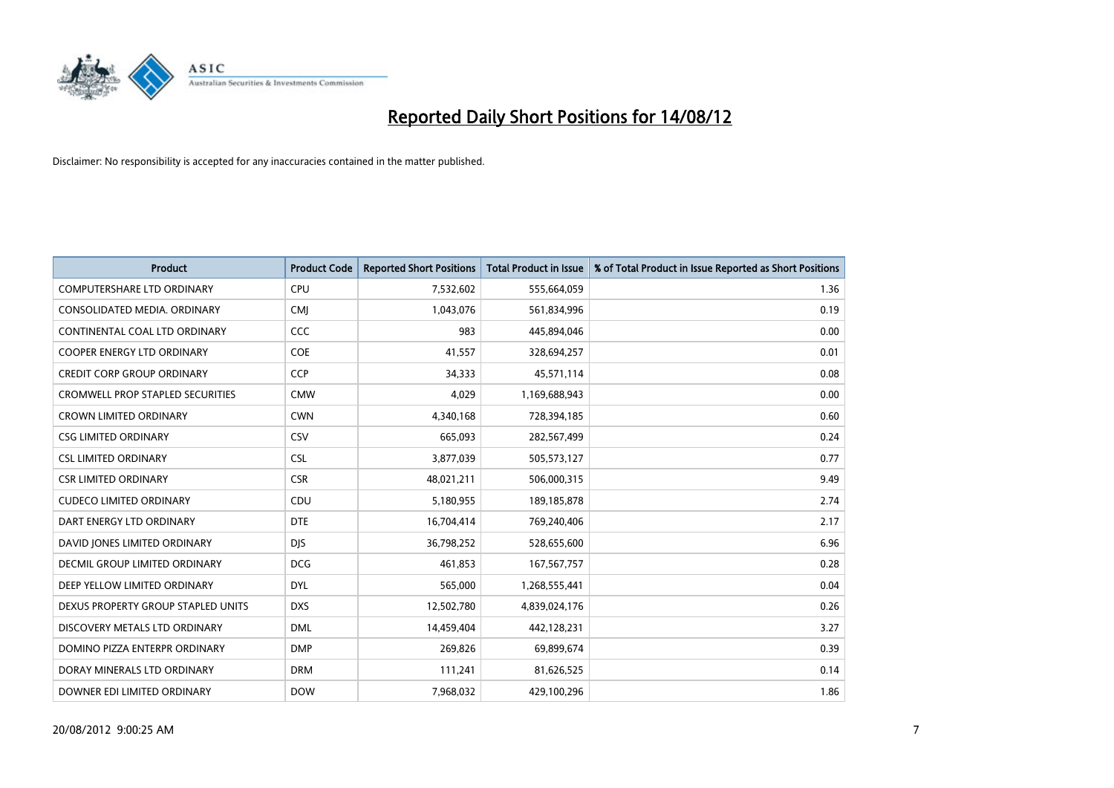

| <b>Product</b>                          | <b>Product Code</b> | <b>Reported Short Positions</b> | <b>Total Product in Issue</b> | % of Total Product in Issue Reported as Short Positions |
|-----------------------------------------|---------------------|---------------------------------|-------------------------------|---------------------------------------------------------|
| <b>COMPUTERSHARE LTD ORDINARY</b>       | <b>CPU</b>          | 7,532,602                       | 555,664,059                   | 1.36                                                    |
| CONSOLIDATED MEDIA, ORDINARY            | <b>CMI</b>          | 1,043,076                       | 561,834,996                   | 0.19                                                    |
| CONTINENTAL COAL LTD ORDINARY           | CCC                 | 983                             | 445,894,046                   | 0.00                                                    |
| COOPER ENERGY LTD ORDINARY              | <b>COE</b>          | 41,557                          | 328,694,257                   | 0.01                                                    |
| <b>CREDIT CORP GROUP ORDINARY</b>       | <b>CCP</b>          | 34,333                          | 45,571,114                    | 0.08                                                    |
| <b>CROMWELL PROP STAPLED SECURITIES</b> | <b>CMW</b>          | 4,029                           | 1,169,688,943                 | 0.00                                                    |
| <b>CROWN LIMITED ORDINARY</b>           | <b>CWN</b>          | 4,340,168                       | 728,394,185                   | 0.60                                                    |
| <b>CSG LIMITED ORDINARY</b>             | CSV                 | 665,093                         | 282,567,499                   | 0.24                                                    |
| <b>CSL LIMITED ORDINARY</b>             | <b>CSL</b>          | 3,877,039                       | 505,573,127                   | 0.77                                                    |
| <b>CSR LIMITED ORDINARY</b>             | <b>CSR</b>          | 48,021,211                      | 506,000,315                   | 9.49                                                    |
| <b>CUDECO LIMITED ORDINARY</b>          | CDU                 | 5,180,955                       | 189, 185, 878                 | 2.74                                                    |
| DART ENERGY LTD ORDINARY                | <b>DTE</b>          | 16,704,414                      | 769,240,406                   | 2.17                                                    |
| DAVID JONES LIMITED ORDINARY            | <b>DIS</b>          | 36,798,252                      | 528,655,600                   | 6.96                                                    |
| <b>DECMIL GROUP LIMITED ORDINARY</b>    | <b>DCG</b>          | 461.853                         | 167,567,757                   | 0.28                                                    |
| DEEP YELLOW LIMITED ORDINARY            | <b>DYL</b>          | 565,000                         | 1,268,555,441                 | 0.04                                                    |
| DEXUS PROPERTY GROUP STAPLED UNITS      | <b>DXS</b>          | 12,502,780                      | 4,839,024,176                 | 0.26                                                    |
| DISCOVERY METALS LTD ORDINARY           | <b>DML</b>          | 14,459,404                      | 442,128,231                   | 3.27                                                    |
| DOMINO PIZZA ENTERPR ORDINARY           | <b>DMP</b>          | 269,826                         | 69,899,674                    | 0.39                                                    |
| DORAY MINERALS LTD ORDINARY             | <b>DRM</b>          | 111,241                         | 81,626,525                    | 0.14                                                    |
| DOWNER EDI LIMITED ORDINARY             | <b>DOW</b>          | 7,968,032                       | 429,100,296                   | 1.86                                                    |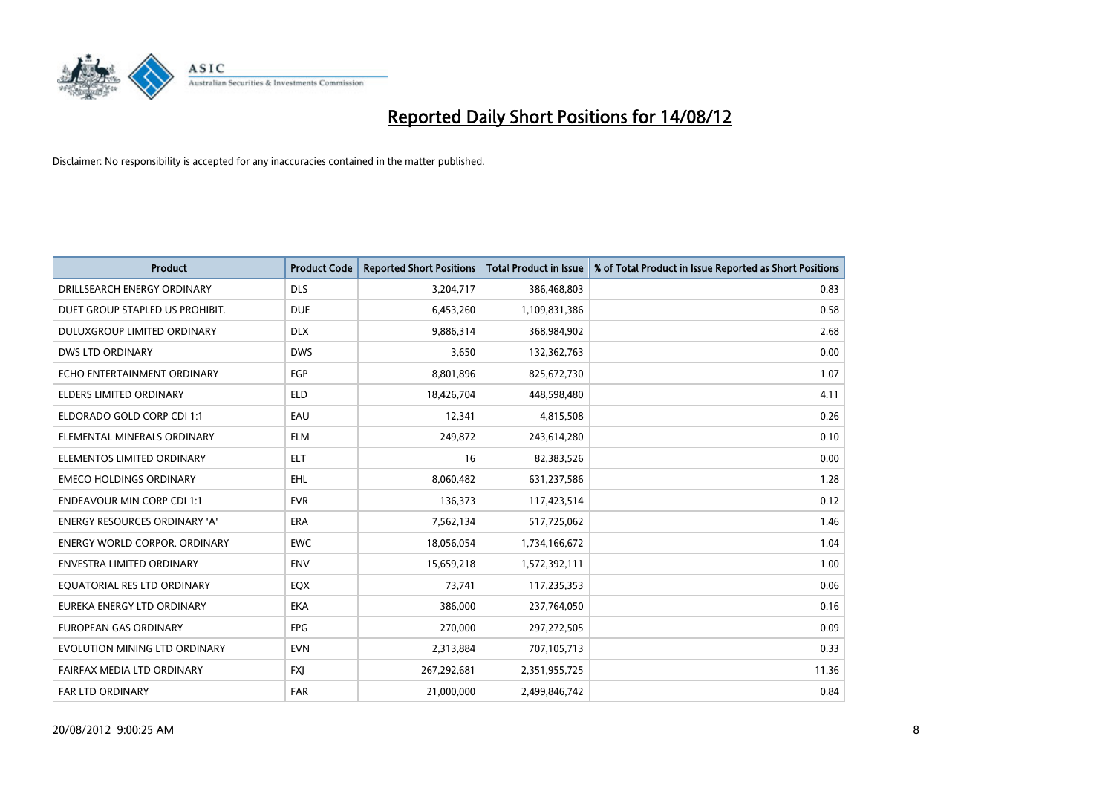

| <b>Product</b>                       | <b>Product Code</b> | <b>Reported Short Positions</b> | <b>Total Product in Issue</b> | % of Total Product in Issue Reported as Short Positions |
|--------------------------------------|---------------------|---------------------------------|-------------------------------|---------------------------------------------------------|
| DRILLSEARCH ENERGY ORDINARY          | <b>DLS</b>          | 3,204,717                       | 386,468,803                   | 0.83                                                    |
| DUET GROUP STAPLED US PROHIBIT.      | <b>DUE</b>          | 6,453,260                       | 1,109,831,386                 | 0.58                                                    |
| <b>DULUXGROUP LIMITED ORDINARY</b>   | <b>DLX</b>          | 9,886,314                       | 368,984,902                   | 2.68                                                    |
| DWS LTD ORDINARY                     | <b>DWS</b>          | 3,650                           | 132,362,763                   | 0.00                                                    |
| ECHO ENTERTAINMENT ORDINARY          | <b>EGP</b>          | 8,801,896                       | 825,672,730                   | 1.07                                                    |
| <b>ELDERS LIMITED ORDINARY</b>       | <b>ELD</b>          | 18,426,704                      | 448,598,480                   | 4.11                                                    |
| ELDORADO GOLD CORP CDI 1:1           | EAU                 | 12,341                          | 4,815,508                     | 0.26                                                    |
| ELEMENTAL MINERALS ORDINARY          | <b>ELM</b>          | 249,872                         | 243,614,280                   | 0.10                                                    |
| ELEMENTOS LIMITED ORDINARY           | <b>ELT</b>          | 16                              | 82,383,526                    | 0.00                                                    |
| <b>EMECO HOLDINGS ORDINARY</b>       | <b>EHL</b>          | 8,060,482                       | 631,237,586                   | 1.28                                                    |
| <b>ENDEAVOUR MIN CORP CDI 1:1</b>    | <b>EVR</b>          | 136,373                         | 117,423,514                   | 0.12                                                    |
| <b>ENERGY RESOURCES ORDINARY 'A'</b> | <b>ERA</b>          | 7,562,134                       | 517,725,062                   | 1.46                                                    |
| ENERGY WORLD CORPOR. ORDINARY        | <b>EWC</b>          | 18,056,054                      | 1,734,166,672                 | 1.04                                                    |
| <b>ENVESTRA LIMITED ORDINARY</b>     | <b>ENV</b>          | 15,659,218                      | 1,572,392,111                 | 1.00                                                    |
| EQUATORIAL RES LTD ORDINARY          | EQX                 | 73,741                          | 117,235,353                   | 0.06                                                    |
| EUREKA ENERGY LTD ORDINARY           | <b>EKA</b>          | 386,000                         | 237,764,050                   | 0.16                                                    |
| <b>EUROPEAN GAS ORDINARY</b>         | <b>EPG</b>          | 270,000                         | 297,272,505                   | 0.09                                                    |
| EVOLUTION MINING LTD ORDINARY        | <b>EVN</b>          | 2,313,884                       | 707,105,713                   | 0.33                                                    |
| FAIRFAX MEDIA LTD ORDINARY           | <b>FXI</b>          | 267,292,681                     | 2,351,955,725                 | 11.36                                                   |
| FAR LTD ORDINARY                     | FAR                 | 21,000,000                      | 2,499,846,742                 | 0.84                                                    |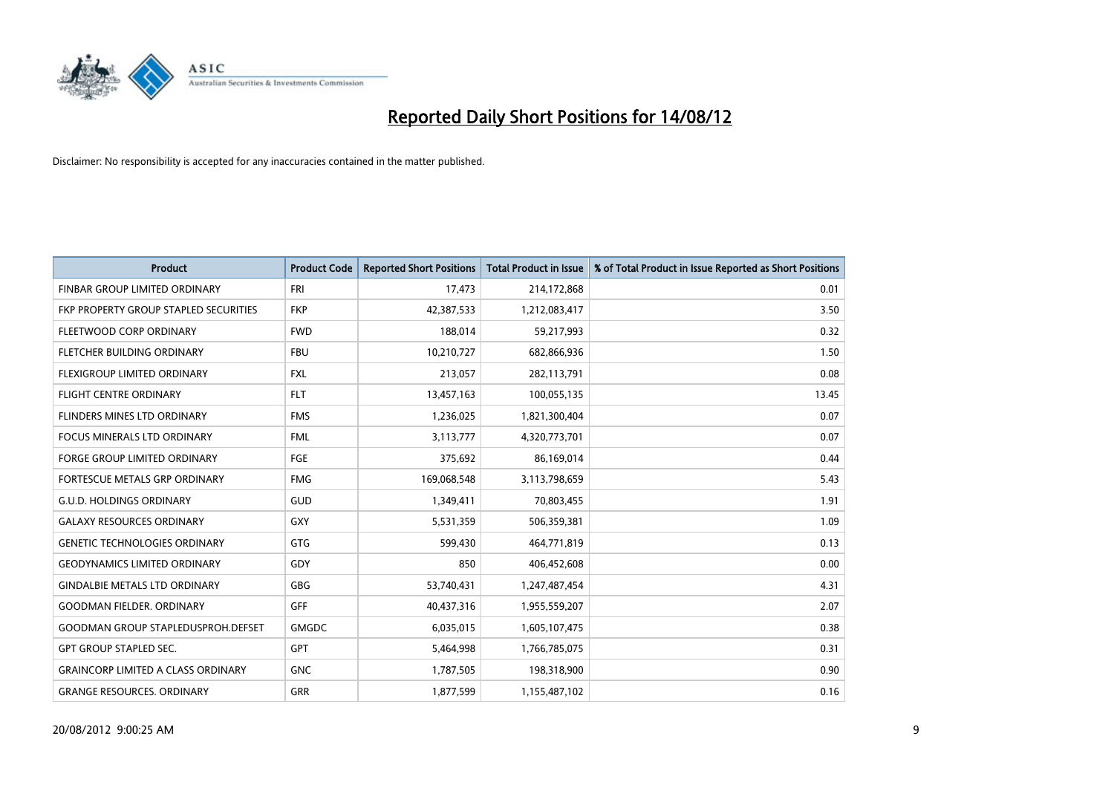

| <b>Product</b>                            | <b>Product Code</b> | <b>Reported Short Positions</b> | <b>Total Product in Issue</b> | % of Total Product in Issue Reported as Short Positions |
|-------------------------------------------|---------------------|---------------------------------|-------------------------------|---------------------------------------------------------|
| FINBAR GROUP LIMITED ORDINARY             | <b>FRI</b>          | 17,473                          | 214,172,868                   | 0.01                                                    |
| FKP PROPERTY GROUP STAPLED SECURITIES     | <b>FKP</b>          | 42,387,533                      | 1,212,083,417                 | 3.50                                                    |
| FLEETWOOD CORP ORDINARY                   | <b>FWD</b>          | 188,014                         | 59,217,993                    | 0.32                                                    |
| FLETCHER BUILDING ORDINARY                | <b>FBU</b>          | 10,210,727                      | 682,866,936                   | 1.50                                                    |
| <b>FLEXIGROUP LIMITED ORDINARY</b>        | <b>FXL</b>          | 213,057                         | 282,113,791                   | 0.08                                                    |
| <b>FLIGHT CENTRE ORDINARY</b>             | <b>FLT</b>          | 13,457,163                      | 100,055,135                   | 13.45                                                   |
| <b>FLINDERS MINES LTD ORDINARY</b>        | <b>FMS</b>          | 1,236,025                       | 1,821,300,404                 | 0.07                                                    |
| FOCUS MINERALS LTD ORDINARY               | <b>FML</b>          | 3,113,777                       | 4,320,773,701                 | 0.07                                                    |
| <b>FORGE GROUP LIMITED ORDINARY</b>       | FGE                 | 375,692                         | 86,169,014                    | 0.44                                                    |
| FORTESCUE METALS GRP ORDINARY             | <b>FMG</b>          | 169,068,548                     | 3,113,798,659                 | 5.43                                                    |
| G.U.D. HOLDINGS ORDINARY                  | GUD                 | 1,349,411                       | 70,803,455                    | 1.91                                                    |
| <b>GALAXY RESOURCES ORDINARY</b>          | <b>GXY</b>          | 5,531,359                       | 506,359,381                   | 1.09                                                    |
| <b>GENETIC TECHNOLOGIES ORDINARY</b>      | <b>GTG</b>          | 599,430                         | 464,771,819                   | 0.13                                                    |
| <b>GEODYNAMICS LIMITED ORDINARY</b>       | GDY                 | 850                             | 406,452,608                   | 0.00                                                    |
| <b>GINDALBIE METALS LTD ORDINARY</b>      | <b>GBG</b>          | 53,740,431                      | 1,247,487,454                 | 4.31                                                    |
| <b>GOODMAN FIELDER. ORDINARY</b>          | <b>GFF</b>          | 40,437,316                      | 1,955,559,207                 | 2.07                                                    |
| <b>GOODMAN GROUP STAPLEDUSPROH.DEFSET</b> | <b>GMGDC</b>        | 6,035,015                       | 1,605,107,475                 | 0.38                                                    |
| <b>GPT GROUP STAPLED SEC.</b>             | <b>GPT</b>          | 5,464,998                       | 1,766,785,075                 | 0.31                                                    |
| <b>GRAINCORP LIMITED A CLASS ORDINARY</b> | <b>GNC</b>          | 1,787,505                       | 198,318,900                   | 0.90                                                    |
| <b>GRANGE RESOURCES. ORDINARY</b>         | <b>GRR</b>          | 1,877,599                       | 1,155,487,102                 | 0.16                                                    |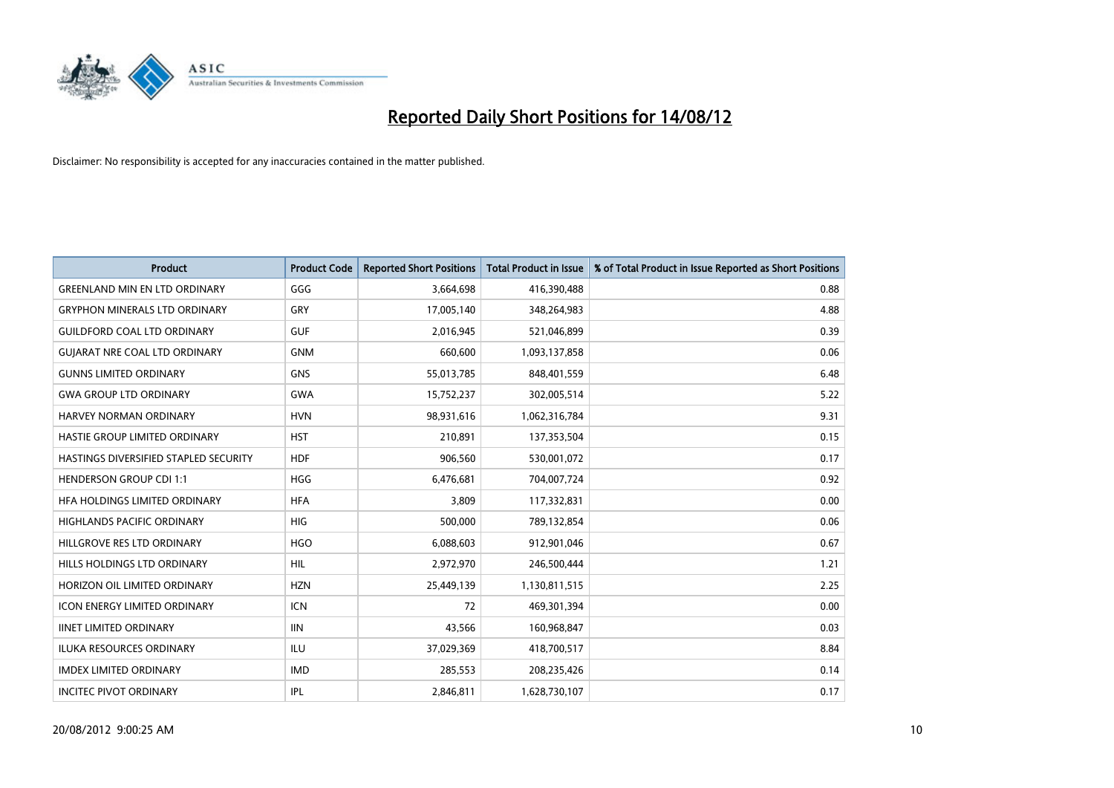

| <b>Product</b>                        | <b>Product Code</b> | <b>Reported Short Positions</b> | <b>Total Product in Issue</b> | % of Total Product in Issue Reported as Short Positions |
|---------------------------------------|---------------------|---------------------------------|-------------------------------|---------------------------------------------------------|
| <b>GREENLAND MIN EN LTD ORDINARY</b>  | GGG                 | 3,664,698                       | 416,390,488                   | 0.88                                                    |
| <b>GRYPHON MINERALS LTD ORDINARY</b>  | GRY                 | 17,005,140                      | 348,264,983                   | 4.88                                                    |
| <b>GUILDFORD COAL LTD ORDINARY</b>    | <b>GUF</b>          | 2,016,945                       | 521,046,899                   | 0.39                                                    |
| <b>GUIARAT NRE COAL LTD ORDINARY</b>  | <b>GNM</b>          | 660,600                         | 1,093,137,858                 | 0.06                                                    |
| <b>GUNNS LIMITED ORDINARY</b>         | <b>GNS</b>          | 55,013,785                      | 848,401,559                   | 6.48                                                    |
| <b>GWA GROUP LTD ORDINARY</b>         | <b>GWA</b>          | 15,752,237                      | 302,005,514                   | 5.22                                                    |
| <b>HARVEY NORMAN ORDINARY</b>         | <b>HVN</b>          | 98,931,616                      | 1,062,316,784                 | 9.31                                                    |
| HASTIE GROUP LIMITED ORDINARY         | <b>HST</b>          | 210,891                         | 137,353,504                   | 0.15                                                    |
| HASTINGS DIVERSIFIED STAPLED SECURITY | <b>HDF</b>          | 906,560                         | 530,001,072                   | 0.17                                                    |
| <b>HENDERSON GROUP CDI 1:1</b>        | <b>HGG</b>          | 6,476,681                       | 704,007,724                   | 0.92                                                    |
| HFA HOLDINGS LIMITED ORDINARY         | <b>HFA</b>          | 3,809                           | 117,332,831                   | 0.00                                                    |
| <b>HIGHLANDS PACIFIC ORDINARY</b>     | <b>HIG</b>          | 500,000                         | 789,132,854                   | 0.06                                                    |
| HILLGROVE RES LTD ORDINARY            | <b>HGO</b>          | 6,088,603                       | 912,901,046                   | 0.67                                                    |
| <b>HILLS HOLDINGS LTD ORDINARY</b>    | <b>HIL</b>          | 2,972,970                       | 246,500,444                   | 1.21                                                    |
| HORIZON OIL LIMITED ORDINARY          | <b>HZN</b>          | 25,449,139                      | 1,130,811,515                 | 2.25                                                    |
| <b>ICON ENERGY LIMITED ORDINARY</b>   | <b>ICN</b>          | 72                              | 469,301,394                   | 0.00                                                    |
| <b>IINET LIMITED ORDINARY</b>         | <b>IIN</b>          | 43,566                          | 160,968,847                   | 0.03                                                    |
| ILUKA RESOURCES ORDINARY              | ILU                 | 37,029,369                      | 418,700,517                   | 8.84                                                    |
| <b>IMDEX LIMITED ORDINARY</b>         | <b>IMD</b>          | 285,553                         | 208,235,426                   | 0.14                                                    |
| <b>INCITEC PIVOT ORDINARY</b>         | <b>IPL</b>          | 2.846.811                       | 1,628,730,107                 | 0.17                                                    |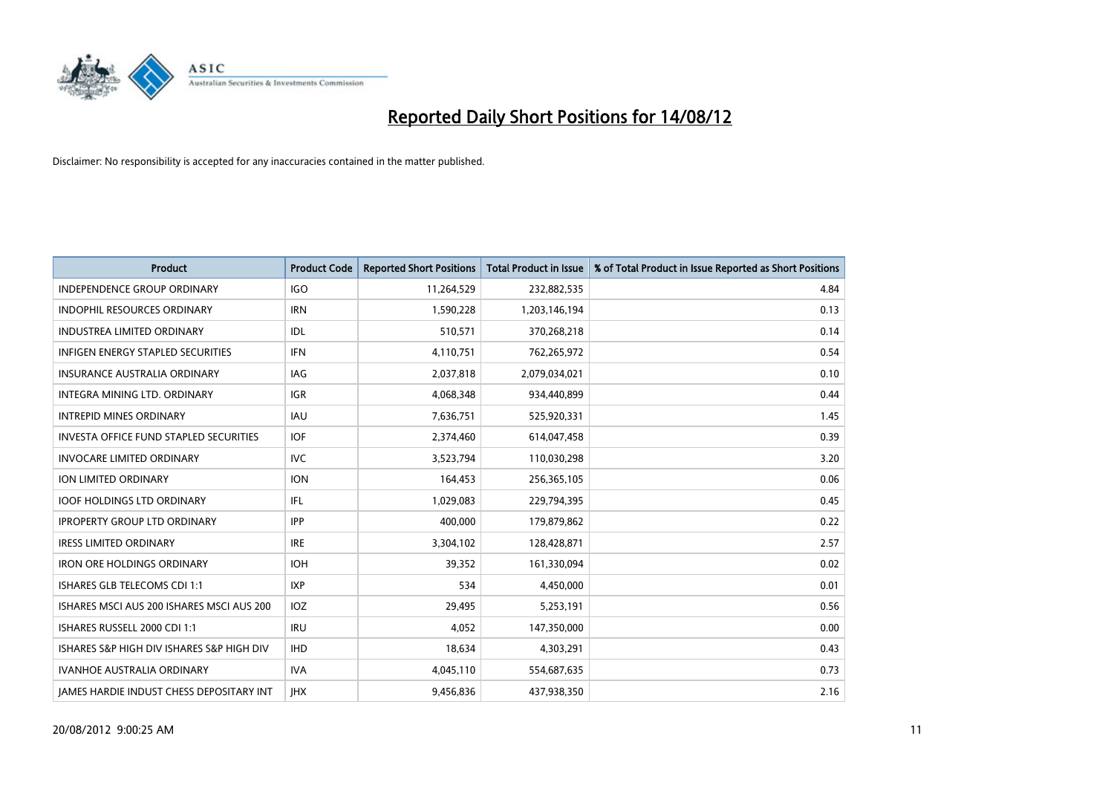

| <b>Product</b>                                | <b>Product Code</b> | <b>Reported Short Positions</b> | <b>Total Product in Issue</b> | % of Total Product in Issue Reported as Short Positions |
|-----------------------------------------------|---------------------|---------------------------------|-------------------------------|---------------------------------------------------------|
| <b>INDEPENDENCE GROUP ORDINARY</b>            | <b>IGO</b>          | 11,264,529                      | 232,882,535                   | 4.84                                                    |
| INDOPHIL RESOURCES ORDINARY                   | <b>IRN</b>          | 1,590,228                       | 1,203,146,194                 | 0.13                                                    |
| INDUSTREA LIMITED ORDINARY                    | <b>IDL</b>          | 510,571                         | 370,268,218                   | 0.14                                                    |
| <b>INFIGEN ENERGY STAPLED SECURITIES</b>      | <b>IFN</b>          | 4,110,751                       | 762,265,972                   | 0.54                                                    |
| <b>INSURANCE AUSTRALIA ORDINARY</b>           | <b>IAG</b>          | 2,037,818                       | 2,079,034,021                 | 0.10                                                    |
| <b>INTEGRA MINING LTD, ORDINARY</b>           | <b>IGR</b>          | 4,068,348                       | 934,440,899                   | 0.44                                                    |
| <b>INTREPID MINES ORDINARY</b>                | <b>IAU</b>          | 7,636,751                       | 525,920,331                   | 1.45                                                    |
| <b>INVESTA OFFICE FUND STAPLED SECURITIES</b> | <b>IOF</b>          | 2,374,460                       | 614,047,458                   | 0.39                                                    |
| <b>INVOCARE LIMITED ORDINARY</b>              | <b>IVC</b>          | 3,523,794                       | 110,030,298                   | 3.20                                                    |
| ION LIMITED ORDINARY                          | <b>ION</b>          | 164,453                         | 256,365,105                   | 0.06                                                    |
| <b>IOOF HOLDINGS LTD ORDINARY</b>             | IFL                 | 1,029,083                       | 229,794,395                   | 0.45                                                    |
| <b>IPROPERTY GROUP LTD ORDINARY</b>           | <b>IPP</b>          | 400,000                         | 179,879,862                   | 0.22                                                    |
| <b>IRESS LIMITED ORDINARY</b>                 | <b>IRE</b>          | 3,304,102                       | 128,428,871                   | 2.57                                                    |
| <b>IRON ORE HOLDINGS ORDINARY</b>             | <b>IOH</b>          | 39,352                          | 161,330,094                   | 0.02                                                    |
| ISHARES GLB TELECOMS CDI 1:1                  | <b>IXP</b>          | 534                             | 4,450,000                     | 0.01                                                    |
| ISHARES MSCI AUS 200 ISHARES MSCI AUS 200     | <b>IOZ</b>          | 29,495                          | 5,253,191                     | 0.56                                                    |
| ISHARES RUSSELL 2000 CDI 1:1                  | <b>IRU</b>          | 4,052                           | 147,350,000                   | 0.00                                                    |
| ISHARES S&P HIGH DIV ISHARES S&P HIGH DIV     | <b>IHD</b>          | 18,634                          | 4,303,291                     | 0.43                                                    |
| <b>IVANHOE AUSTRALIA ORDINARY</b>             | <b>IVA</b>          | 4,045,110                       | 554,687,635                   | 0.73                                                    |
| JAMES HARDIE INDUST CHESS DEPOSITARY INT      | <b>IHX</b>          | 9,456,836                       | 437,938,350                   | 2.16                                                    |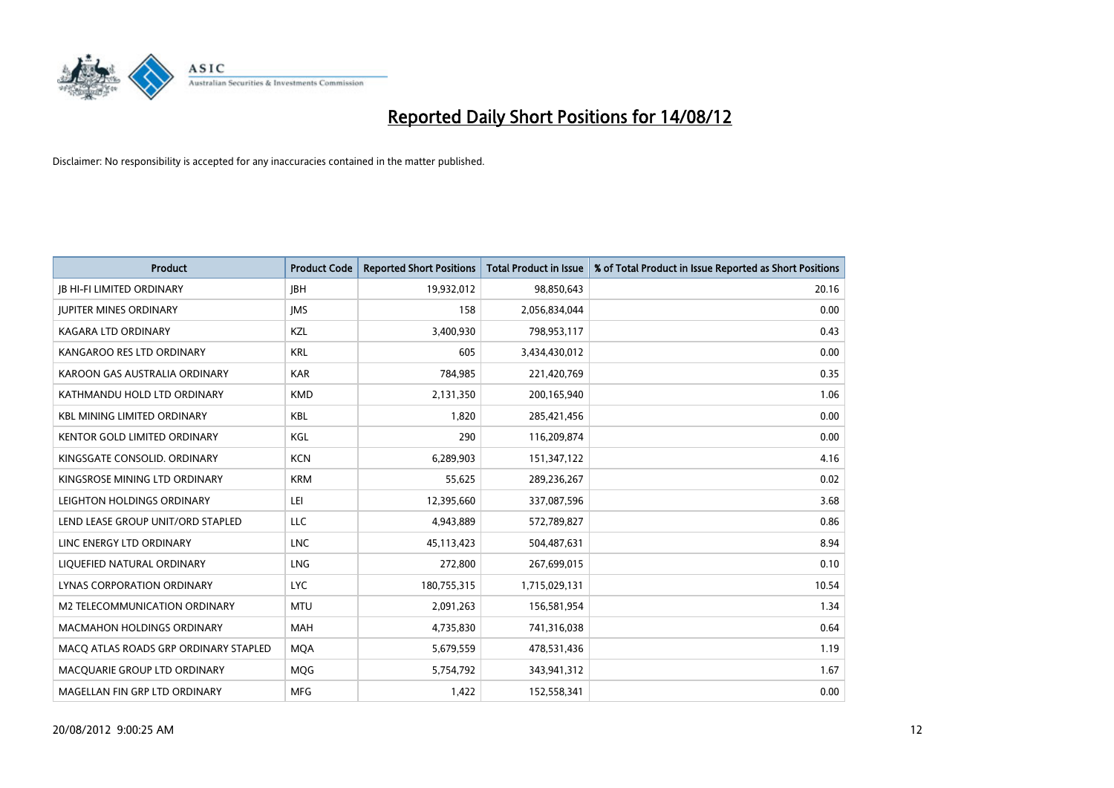

| <b>Product</b>                        | <b>Product Code</b> | <b>Reported Short Positions</b> | <b>Total Product in Issue</b> | % of Total Product in Issue Reported as Short Positions |
|---------------------------------------|---------------------|---------------------------------|-------------------------------|---------------------------------------------------------|
| <b>IB HI-FI LIMITED ORDINARY</b>      | <b>IBH</b>          | 19,932,012                      | 98,850,643                    | 20.16                                                   |
| <b>JUPITER MINES ORDINARY</b>         | <b>IMS</b>          | 158                             | 2,056,834,044                 | 0.00                                                    |
| KAGARA LTD ORDINARY                   | <b>KZL</b>          | 3,400,930                       | 798,953,117                   | 0.43                                                    |
| KANGAROO RES LTD ORDINARY             | <b>KRL</b>          | 605                             | 3,434,430,012                 | 0.00                                                    |
| KAROON GAS AUSTRALIA ORDINARY         | <b>KAR</b>          | 784,985                         | 221,420,769                   | 0.35                                                    |
| KATHMANDU HOLD LTD ORDINARY           | <b>KMD</b>          | 2,131,350                       | 200,165,940                   | 1.06                                                    |
| <b>KBL MINING LIMITED ORDINARY</b>    | <b>KBL</b>          | 1.820                           | 285,421,456                   | 0.00                                                    |
| KENTOR GOLD LIMITED ORDINARY          | KGL                 | 290                             | 116,209,874                   | 0.00                                                    |
| KINGSGATE CONSOLID. ORDINARY          | <b>KCN</b>          | 6,289,903                       | 151,347,122                   | 4.16                                                    |
| KINGSROSE MINING LTD ORDINARY         | <b>KRM</b>          | 55,625                          | 289,236,267                   | 0.02                                                    |
| LEIGHTON HOLDINGS ORDINARY            | LEI                 | 12,395,660                      | 337,087,596                   | 3.68                                                    |
| LEND LEASE GROUP UNIT/ORD STAPLED     | <b>LLC</b>          | 4,943,889                       | 572,789,827                   | 0.86                                                    |
| LINC ENERGY LTD ORDINARY              | <b>LNC</b>          | 45,113,423                      | 504,487,631                   | 8.94                                                    |
| LIQUEFIED NATURAL ORDINARY            | <b>LNG</b>          | 272,800                         | 267,699,015                   | 0.10                                                    |
| <b>LYNAS CORPORATION ORDINARY</b>     | <b>LYC</b>          | 180,755,315                     | 1,715,029,131                 | 10.54                                                   |
| M2 TELECOMMUNICATION ORDINARY         | <b>MTU</b>          | 2,091,263                       | 156,581,954                   | 1.34                                                    |
| <b>MACMAHON HOLDINGS ORDINARY</b>     | <b>MAH</b>          | 4,735,830                       | 741,316,038                   | 0.64                                                    |
| MACQ ATLAS ROADS GRP ORDINARY STAPLED | <b>MQA</b>          | 5,679,559                       | 478,531,436                   | 1.19                                                    |
| MACOUARIE GROUP LTD ORDINARY          | <b>MOG</b>          | 5,754,792                       | 343,941,312                   | 1.67                                                    |
| MAGELLAN FIN GRP LTD ORDINARY         | <b>MFG</b>          | 1,422                           | 152,558,341                   | 0.00                                                    |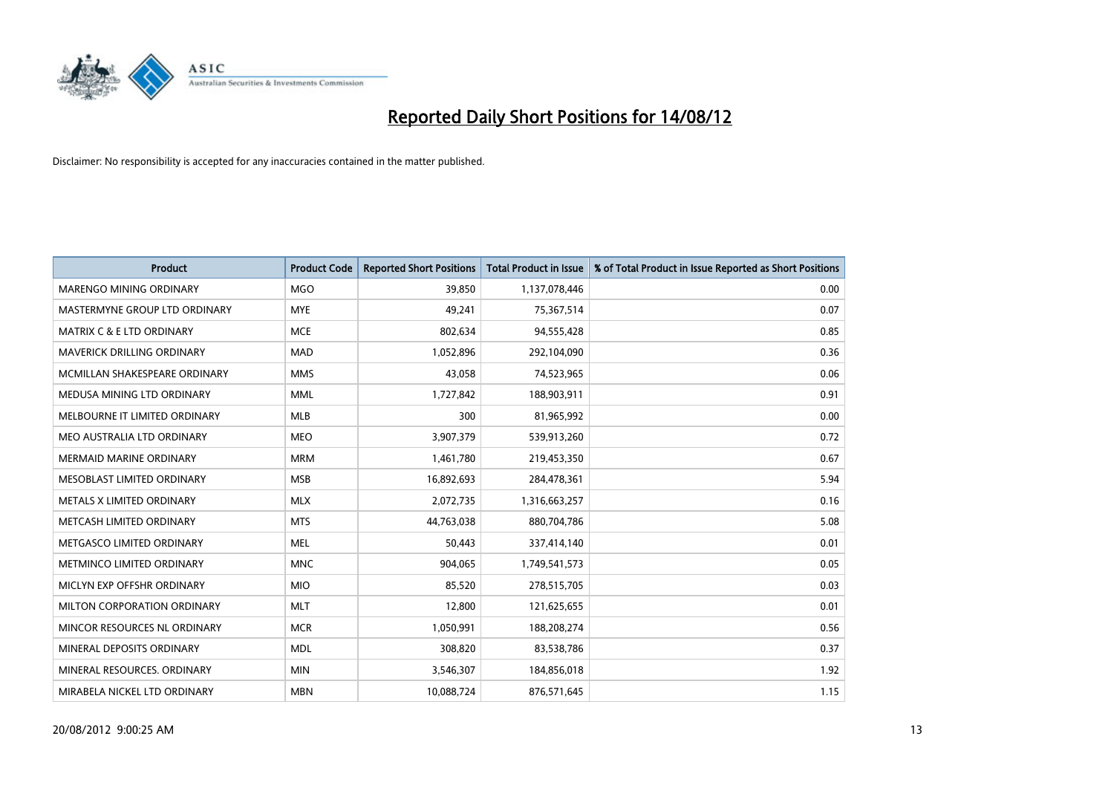

| <b>Product</b>                       | <b>Product Code</b> | <b>Reported Short Positions</b> | <b>Total Product in Issue</b> | % of Total Product in Issue Reported as Short Positions |
|--------------------------------------|---------------------|---------------------------------|-------------------------------|---------------------------------------------------------|
| <b>MARENGO MINING ORDINARY</b>       | <b>MGO</b>          | 39.850                          | 1,137,078,446                 | 0.00                                                    |
| MASTERMYNE GROUP LTD ORDINARY        | <b>MYE</b>          | 49,241                          | 75,367,514                    | 0.07                                                    |
| <b>MATRIX C &amp; E LTD ORDINARY</b> | <b>MCE</b>          | 802,634                         | 94,555,428                    | 0.85                                                    |
| MAVERICK DRILLING ORDINARY           | <b>MAD</b>          | 1,052,896                       | 292,104,090                   | 0.36                                                    |
| MCMILLAN SHAKESPEARE ORDINARY        | <b>MMS</b>          | 43,058                          | 74,523,965                    | 0.06                                                    |
| MEDUSA MINING LTD ORDINARY           | <b>MML</b>          | 1,727,842                       | 188,903,911                   | 0.91                                                    |
| MELBOURNE IT LIMITED ORDINARY        | <b>MLB</b>          | 300                             | 81,965,992                    | 0.00                                                    |
| MEO AUSTRALIA LTD ORDINARY           | <b>MEO</b>          | 3,907,379                       | 539,913,260                   | 0.72                                                    |
| <b>MERMAID MARINE ORDINARY</b>       | <b>MRM</b>          | 1,461,780                       | 219,453,350                   | 0.67                                                    |
| MESOBLAST LIMITED ORDINARY           | <b>MSB</b>          | 16,892,693                      | 284,478,361                   | 5.94                                                    |
| METALS X LIMITED ORDINARY            | <b>MLX</b>          | 2,072,735                       | 1,316,663,257                 | 0.16                                                    |
| METCASH LIMITED ORDINARY             | <b>MTS</b>          | 44,763,038                      | 880,704,786                   | 5.08                                                    |
| METGASCO LIMITED ORDINARY            | <b>MEL</b>          | 50,443                          | 337,414,140                   | 0.01                                                    |
| METMINCO LIMITED ORDINARY            | <b>MNC</b>          | 904,065                         | 1,749,541,573                 | 0.05                                                    |
| MICLYN EXP OFFSHR ORDINARY           | <b>MIO</b>          | 85,520                          | 278,515,705                   | 0.03                                                    |
| MILTON CORPORATION ORDINARY          | <b>MLT</b>          | 12,800                          | 121,625,655                   | 0.01                                                    |
| MINCOR RESOURCES NL ORDINARY         | <b>MCR</b>          | 1,050,991                       | 188,208,274                   | 0.56                                                    |
| MINERAL DEPOSITS ORDINARY            | <b>MDL</b>          | 308,820                         | 83,538,786                    | 0.37                                                    |
| MINERAL RESOURCES, ORDINARY          | <b>MIN</b>          | 3,546,307                       | 184,856,018                   | 1.92                                                    |
| MIRABELA NICKEL LTD ORDINARY         | <b>MBN</b>          | 10,088,724                      | 876,571,645                   | 1.15                                                    |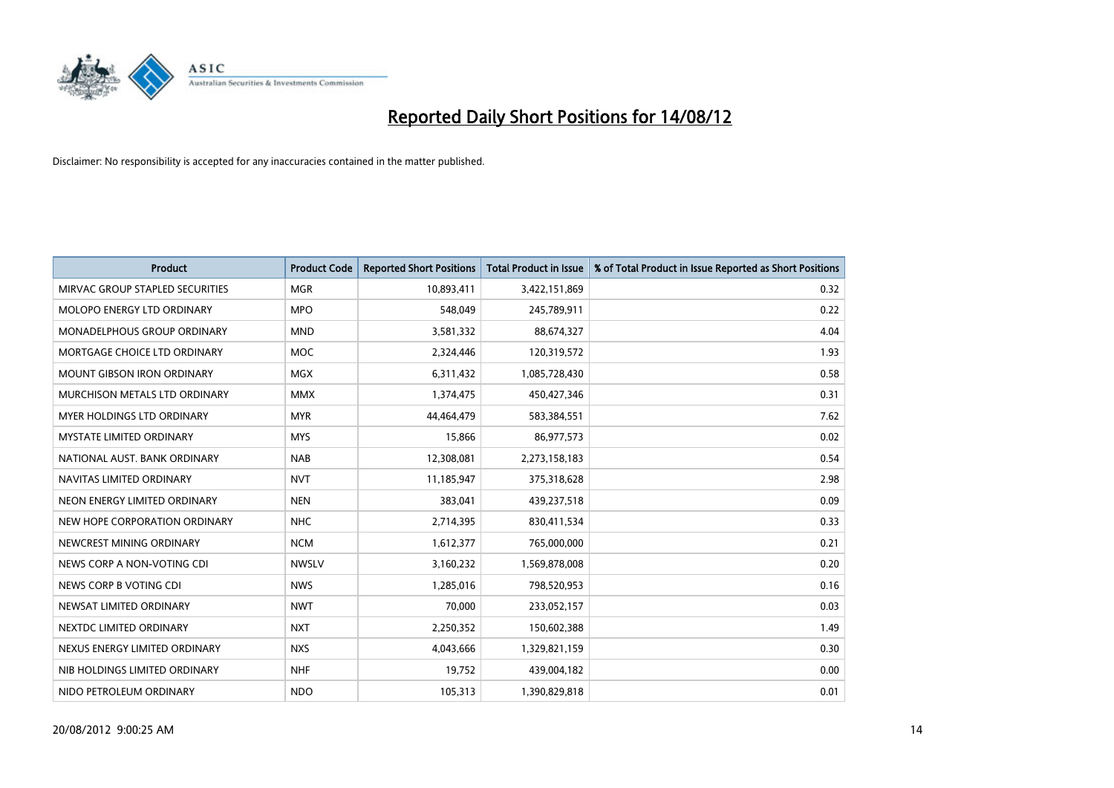

| <b>Product</b>                     | <b>Product Code</b> | <b>Reported Short Positions</b> | <b>Total Product in Issue</b> | % of Total Product in Issue Reported as Short Positions |
|------------------------------------|---------------------|---------------------------------|-------------------------------|---------------------------------------------------------|
| MIRVAC GROUP STAPLED SECURITIES    | <b>MGR</b>          | 10,893,411                      | 3,422,151,869                 | 0.32                                                    |
| MOLOPO ENERGY LTD ORDINARY         | <b>MPO</b>          | 548,049                         | 245,789,911                   | 0.22                                                    |
| <b>MONADELPHOUS GROUP ORDINARY</b> | <b>MND</b>          | 3,581,332                       | 88,674,327                    | 4.04                                                    |
| MORTGAGE CHOICE LTD ORDINARY       | <b>MOC</b>          | 2,324,446                       | 120,319,572                   | 1.93                                                    |
| <b>MOUNT GIBSON IRON ORDINARY</b>  | <b>MGX</b>          | 6,311,432                       | 1,085,728,430                 | 0.58                                                    |
| MURCHISON METALS LTD ORDINARY      | <b>MMX</b>          | 1,374,475                       | 450,427,346                   | 0.31                                                    |
| <b>MYER HOLDINGS LTD ORDINARY</b>  | <b>MYR</b>          | 44,464,479                      | 583,384,551                   | 7.62                                                    |
| <b>MYSTATE LIMITED ORDINARY</b>    | <b>MYS</b>          | 15,866                          | 86,977,573                    | 0.02                                                    |
| NATIONAL AUST. BANK ORDINARY       | <b>NAB</b>          | 12,308,081                      | 2,273,158,183                 | 0.54                                                    |
| NAVITAS LIMITED ORDINARY           | <b>NVT</b>          | 11,185,947                      | 375,318,628                   | 2.98                                                    |
| NEON ENERGY LIMITED ORDINARY       | <b>NEN</b>          | 383,041                         | 439,237,518                   | 0.09                                                    |
| NEW HOPE CORPORATION ORDINARY      | <b>NHC</b>          | 2,714,395                       | 830,411,534                   | 0.33                                                    |
| NEWCREST MINING ORDINARY           | <b>NCM</b>          | 1,612,377                       | 765,000,000                   | 0.21                                                    |
| NEWS CORP A NON-VOTING CDI         | <b>NWSLV</b>        | 3,160,232                       | 1,569,878,008                 | 0.20                                                    |
| NEWS CORP B VOTING CDI             | <b>NWS</b>          | 1,285,016                       | 798,520,953                   | 0.16                                                    |
| NEWSAT LIMITED ORDINARY            | <b>NWT</b>          | 70,000                          | 233,052,157                   | 0.03                                                    |
| NEXTDC LIMITED ORDINARY            | <b>NXT</b>          | 2,250,352                       | 150,602,388                   | 1.49                                                    |
| NEXUS ENERGY LIMITED ORDINARY      | <b>NXS</b>          | 4,043,666                       | 1,329,821,159                 | 0.30                                                    |
| NIB HOLDINGS LIMITED ORDINARY      | <b>NHF</b>          | 19,752                          | 439,004,182                   | 0.00                                                    |
| NIDO PETROLEUM ORDINARY            | <b>NDO</b>          | 105,313                         | 1,390,829,818                 | 0.01                                                    |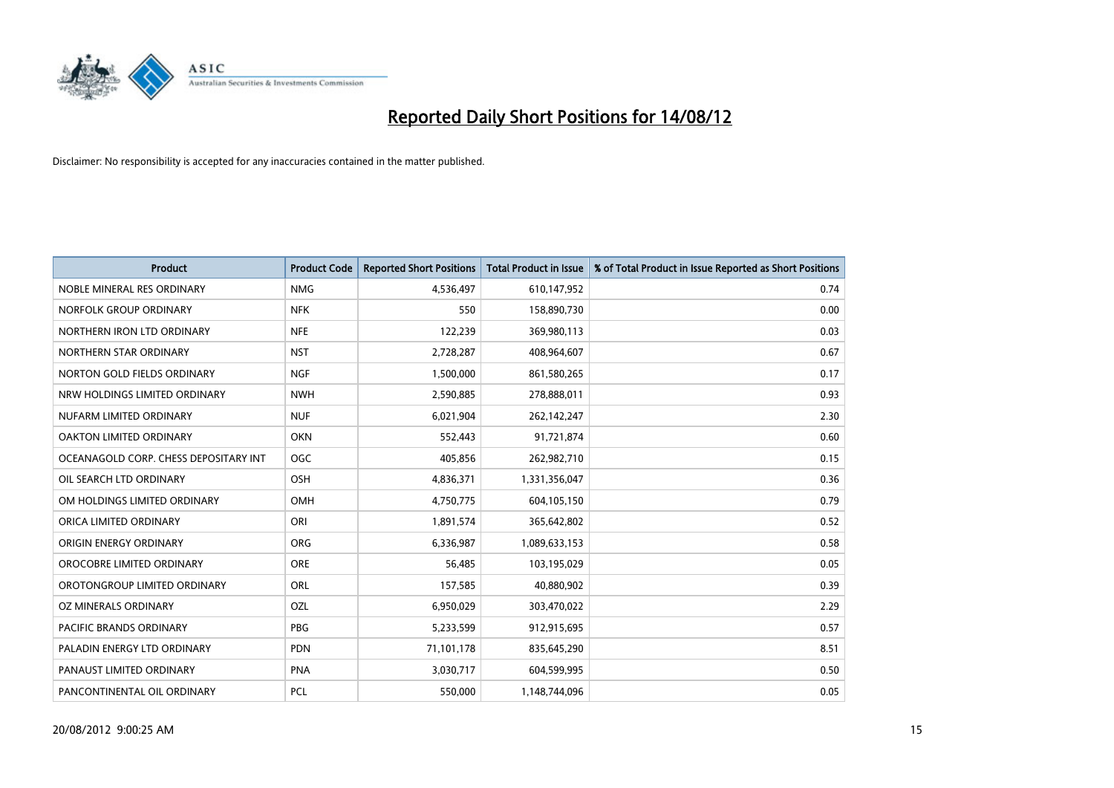

| <b>Product</b>                        | <b>Product Code</b> | <b>Reported Short Positions</b> | <b>Total Product in Issue</b> | % of Total Product in Issue Reported as Short Positions |
|---------------------------------------|---------------------|---------------------------------|-------------------------------|---------------------------------------------------------|
| NOBLE MINERAL RES ORDINARY            | <b>NMG</b>          | 4,536,497                       | 610,147,952                   | 0.74                                                    |
| NORFOLK GROUP ORDINARY                | <b>NFK</b>          | 550                             | 158,890,730                   | 0.00                                                    |
| NORTHERN IRON LTD ORDINARY            | <b>NFE</b>          | 122,239                         | 369,980,113                   | 0.03                                                    |
| NORTHERN STAR ORDINARY                | <b>NST</b>          | 2,728,287                       | 408,964,607                   | 0.67                                                    |
| NORTON GOLD FIELDS ORDINARY           | <b>NGF</b>          | 1,500,000                       | 861,580,265                   | 0.17                                                    |
| NRW HOLDINGS LIMITED ORDINARY         | <b>NWH</b>          | 2,590,885                       | 278,888,011                   | 0.93                                                    |
| NUFARM LIMITED ORDINARY               | <b>NUF</b>          | 6,021,904                       | 262,142,247                   | 2.30                                                    |
| OAKTON LIMITED ORDINARY               | <b>OKN</b>          | 552,443                         | 91,721,874                    | 0.60                                                    |
| OCEANAGOLD CORP. CHESS DEPOSITARY INT | <b>OGC</b>          | 405,856                         | 262,982,710                   | 0.15                                                    |
| OIL SEARCH LTD ORDINARY               | OSH                 | 4,836,371                       | 1,331,356,047                 | 0.36                                                    |
| OM HOLDINGS LIMITED ORDINARY          | <b>OMH</b>          | 4,750,775                       | 604,105,150                   | 0.79                                                    |
| ORICA LIMITED ORDINARY                | ORI                 | 1,891,574                       | 365,642,802                   | 0.52                                                    |
| ORIGIN ENERGY ORDINARY                | <b>ORG</b>          | 6,336,987                       | 1,089,633,153                 | 0.58                                                    |
| OROCOBRE LIMITED ORDINARY             | <b>ORE</b>          | 56,485                          | 103,195,029                   | 0.05                                                    |
| OROTONGROUP LIMITED ORDINARY          | ORL                 | 157,585                         | 40,880,902                    | 0.39                                                    |
| OZ MINERALS ORDINARY                  | OZL                 | 6,950,029                       | 303,470,022                   | 2.29                                                    |
| PACIFIC BRANDS ORDINARY               | PBG                 | 5,233,599                       | 912,915,695                   | 0.57                                                    |
| PALADIN ENERGY LTD ORDINARY           | <b>PDN</b>          | 71,101,178                      | 835,645,290                   | 8.51                                                    |
| PANAUST LIMITED ORDINARY              | PNA                 | 3,030,717                       | 604,599,995                   | 0.50                                                    |
| PANCONTINENTAL OIL ORDINARY           | <b>PCL</b>          | 550,000                         | 1,148,744,096                 | 0.05                                                    |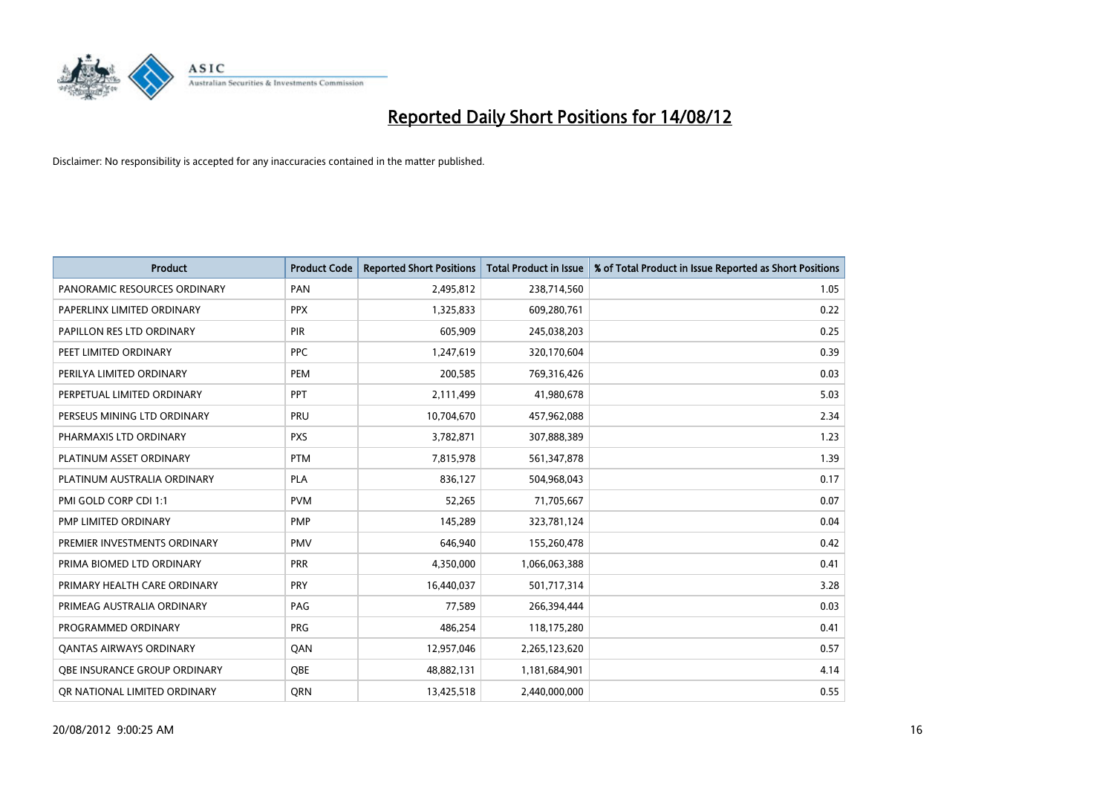

| <b>Product</b>                 | <b>Product Code</b> | <b>Reported Short Positions</b> | <b>Total Product in Issue</b> | % of Total Product in Issue Reported as Short Positions |
|--------------------------------|---------------------|---------------------------------|-------------------------------|---------------------------------------------------------|
| PANORAMIC RESOURCES ORDINARY   | PAN                 | 2,495,812                       | 238,714,560                   | 1.05                                                    |
| PAPERLINX LIMITED ORDINARY     | <b>PPX</b>          | 1,325,833                       | 609,280,761                   | 0.22                                                    |
| PAPILLON RES LTD ORDINARY      | <b>PIR</b>          | 605,909                         | 245,038,203                   | 0.25                                                    |
| PEET LIMITED ORDINARY          | <b>PPC</b>          | 1,247,619                       | 320,170,604                   | 0.39                                                    |
| PERILYA LIMITED ORDINARY       | PEM                 | 200,585                         | 769,316,426                   | 0.03                                                    |
| PERPETUAL LIMITED ORDINARY     | PPT                 | 2,111,499                       | 41,980,678                    | 5.03                                                    |
| PERSEUS MINING LTD ORDINARY    | <b>PRU</b>          | 10,704,670                      | 457,962,088                   | 2.34                                                    |
| PHARMAXIS LTD ORDINARY         | <b>PXS</b>          | 3,782,871                       | 307,888,389                   | 1.23                                                    |
| PLATINUM ASSET ORDINARY        | <b>PTM</b>          | 7,815,978                       | 561,347,878                   | 1.39                                                    |
| PLATINUM AUSTRALIA ORDINARY    | <b>PLA</b>          | 836,127                         | 504,968,043                   | 0.17                                                    |
| PMI GOLD CORP CDI 1:1          | <b>PVM</b>          | 52,265                          | 71,705,667                    | 0.07                                                    |
| PMP LIMITED ORDINARY           | <b>PMP</b>          | 145,289                         | 323,781,124                   | 0.04                                                    |
| PREMIER INVESTMENTS ORDINARY   | <b>PMV</b>          | 646,940                         | 155,260,478                   | 0.42                                                    |
| PRIMA BIOMED LTD ORDINARY      | <b>PRR</b>          | 4,350,000                       | 1,066,063,388                 | 0.41                                                    |
| PRIMARY HEALTH CARE ORDINARY   | PRY                 | 16,440,037                      | 501,717,314                   | 3.28                                                    |
| PRIMEAG AUSTRALIA ORDINARY     | PAG                 | 77,589                          | 266,394,444                   | 0.03                                                    |
| PROGRAMMED ORDINARY            | <b>PRG</b>          | 486,254                         | 118,175,280                   | 0.41                                                    |
| <b>QANTAS AIRWAYS ORDINARY</b> | QAN                 | 12,957,046                      | 2,265,123,620                 | 0.57                                                    |
| OBE INSURANCE GROUP ORDINARY   | <b>OBE</b>          | 48,882,131                      | 1,181,684,901                 | 4.14                                                    |
| OR NATIONAL LIMITED ORDINARY   | <b>ORN</b>          | 13,425,518                      | 2,440,000,000                 | 0.55                                                    |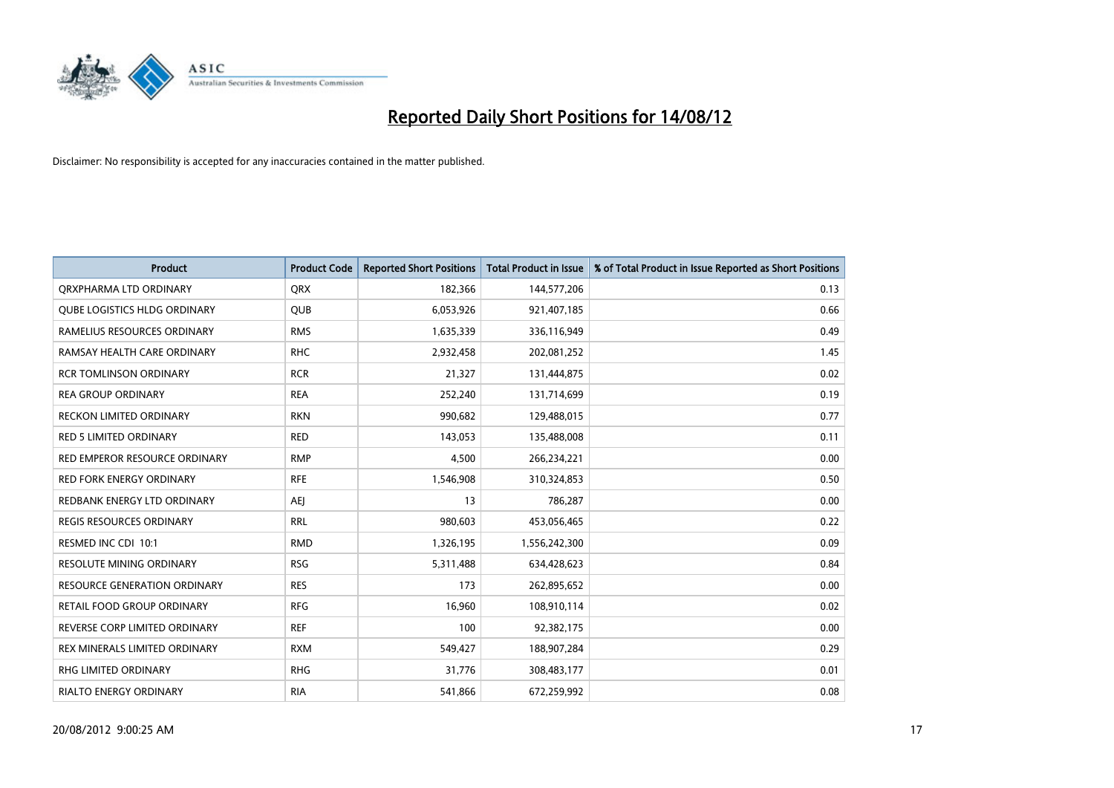

| <b>Product</b>                      | <b>Product Code</b> | <b>Reported Short Positions</b> | <b>Total Product in Issue</b> | % of Total Product in Issue Reported as Short Positions |
|-------------------------------------|---------------------|---------------------------------|-------------------------------|---------------------------------------------------------|
| ORXPHARMA LTD ORDINARY              | <b>ORX</b>          | 182,366                         | 144,577,206                   | 0.13                                                    |
| QUBE LOGISTICS HLDG ORDINARY        | QUB                 | 6,053,926                       | 921,407,185                   | 0.66                                                    |
| RAMELIUS RESOURCES ORDINARY         | <b>RMS</b>          | 1,635,339                       | 336,116,949                   | 0.49                                                    |
| RAMSAY HEALTH CARE ORDINARY         | <b>RHC</b>          | 2,932,458                       | 202,081,252                   | 1.45                                                    |
| <b>RCR TOMLINSON ORDINARY</b>       | <b>RCR</b>          | 21,327                          | 131,444,875                   | 0.02                                                    |
| <b>REA GROUP ORDINARY</b>           | <b>REA</b>          | 252,240                         | 131,714,699                   | 0.19                                                    |
| <b>RECKON LIMITED ORDINARY</b>      | <b>RKN</b>          | 990,682                         | 129,488,015                   | 0.77                                                    |
| <b>RED 5 LIMITED ORDINARY</b>       | <b>RED</b>          | 143,053                         | 135,488,008                   | 0.11                                                    |
| RED EMPEROR RESOURCE ORDINARY       | <b>RMP</b>          | 4,500                           | 266,234,221                   | 0.00                                                    |
| <b>RED FORK ENERGY ORDINARY</b>     | <b>RFE</b>          | 1,546,908                       | 310,324,853                   | 0.50                                                    |
| REDBANK ENERGY LTD ORDINARY         | AEJ                 | 13                              | 786,287                       | 0.00                                                    |
| <b>REGIS RESOURCES ORDINARY</b>     | <b>RRL</b>          | 980,603                         | 453,056,465                   | 0.22                                                    |
| RESMED INC CDI 10:1                 | <b>RMD</b>          | 1,326,195                       | 1,556,242,300                 | 0.09                                                    |
| <b>RESOLUTE MINING ORDINARY</b>     | <b>RSG</b>          | 5,311,488                       | 634,428,623                   | 0.84                                                    |
| <b>RESOURCE GENERATION ORDINARY</b> | <b>RES</b>          | 173                             | 262,895,652                   | 0.00                                                    |
| RETAIL FOOD GROUP ORDINARY          | <b>RFG</b>          | 16,960                          | 108,910,114                   | 0.02                                                    |
| REVERSE CORP LIMITED ORDINARY       | <b>REF</b>          | 100                             | 92,382,175                    | 0.00                                                    |
| REX MINERALS LIMITED ORDINARY       | <b>RXM</b>          | 549,427                         | 188,907,284                   | 0.29                                                    |
| <b>RHG LIMITED ORDINARY</b>         | <b>RHG</b>          | 31,776                          | 308,483,177                   | 0.01                                                    |
| <b>RIALTO ENERGY ORDINARY</b>       | <b>RIA</b>          | 541.866                         | 672.259.992                   | 0.08                                                    |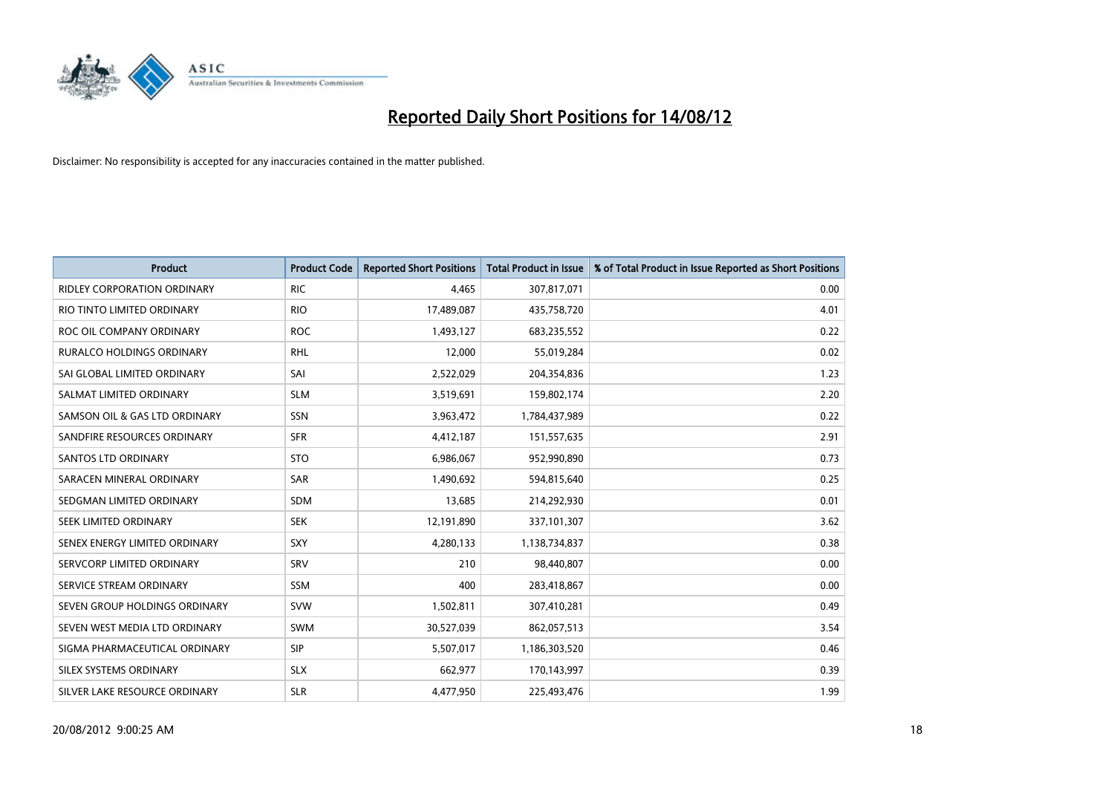

| <b>Product</b>                     | <b>Product Code</b> | <b>Reported Short Positions</b> | <b>Total Product in Issue</b> | % of Total Product in Issue Reported as Short Positions |
|------------------------------------|---------------------|---------------------------------|-------------------------------|---------------------------------------------------------|
| <b>RIDLEY CORPORATION ORDINARY</b> | <b>RIC</b>          | 4,465                           | 307,817,071                   | 0.00                                                    |
| RIO TINTO LIMITED ORDINARY         | <b>RIO</b>          | 17,489,087                      | 435,758,720                   | 4.01                                                    |
| ROC OIL COMPANY ORDINARY           | <b>ROC</b>          | 1,493,127                       | 683,235,552                   | 0.22                                                    |
| RURALCO HOLDINGS ORDINARY          | <b>RHL</b>          | 12,000                          | 55,019,284                    | 0.02                                                    |
| SAI GLOBAL LIMITED ORDINARY        | SAI                 | 2,522,029                       | 204,354,836                   | 1.23                                                    |
| SALMAT LIMITED ORDINARY            | <b>SLM</b>          | 3,519,691                       | 159,802,174                   | 2.20                                                    |
| SAMSON OIL & GAS LTD ORDINARY      | SSN                 | 3,963,472                       | 1,784,437,989                 | 0.22                                                    |
| SANDFIRE RESOURCES ORDINARY        | <b>SFR</b>          | 4,412,187                       | 151,557,635                   | 2.91                                                    |
| <b>SANTOS LTD ORDINARY</b>         | <b>STO</b>          | 6,986,067                       | 952,990,890                   | 0.73                                                    |
| SARACEN MINERAL ORDINARY           | <b>SAR</b>          | 1,490,692                       | 594,815,640                   | 0.25                                                    |
| SEDGMAN LIMITED ORDINARY           | <b>SDM</b>          | 13,685                          | 214,292,930                   | 0.01                                                    |
| <b>SEEK LIMITED ORDINARY</b>       | <b>SEK</b>          | 12,191,890                      | 337,101,307                   | 3.62                                                    |
| SENEX ENERGY LIMITED ORDINARY      | SXY                 | 4,280,133                       | 1,138,734,837                 | 0.38                                                    |
| SERVCORP LIMITED ORDINARY          | SRV                 | 210                             | 98,440,807                    | 0.00                                                    |
| SERVICE STREAM ORDINARY            | <b>SSM</b>          | 400                             | 283,418,867                   | 0.00                                                    |
| SEVEN GROUP HOLDINGS ORDINARY      | <b>SVW</b>          | 1,502,811                       | 307,410,281                   | 0.49                                                    |
| SEVEN WEST MEDIA LTD ORDINARY      | <b>SWM</b>          | 30,527,039                      | 862,057,513                   | 3.54                                                    |
| SIGMA PHARMACEUTICAL ORDINARY      | <b>SIP</b>          | 5,507,017                       | 1,186,303,520                 | 0.46                                                    |
| SILEX SYSTEMS ORDINARY             | <b>SLX</b>          | 662,977                         | 170,143,997                   | 0.39                                                    |
| SILVER LAKE RESOURCE ORDINARY      | <b>SLR</b>          | 4,477,950                       | 225,493,476                   | 1.99                                                    |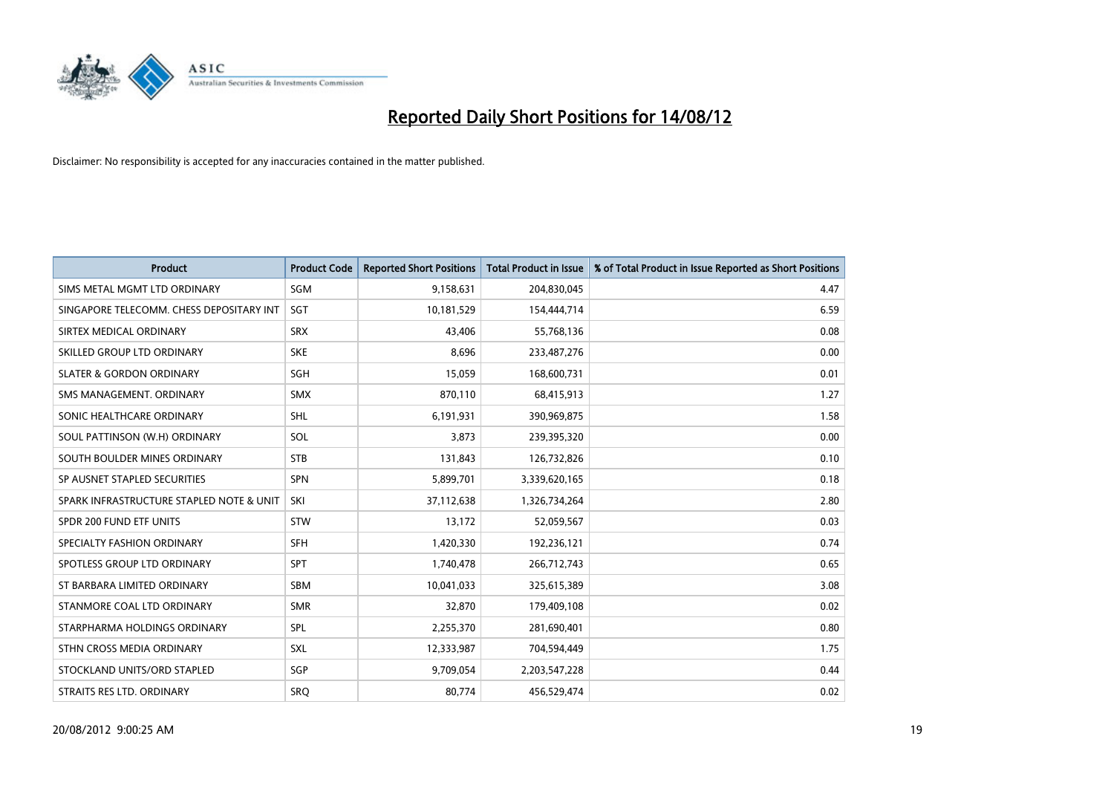

| <b>Product</b>                           | <b>Product Code</b> | <b>Reported Short Positions</b> | <b>Total Product in Issue</b> | % of Total Product in Issue Reported as Short Positions |
|------------------------------------------|---------------------|---------------------------------|-------------------------------|---------------------------------------------------------|
| SIMS METAL MGMT LTD ORDINARY             | SGM                 | 9,158,631                       | 204,830,045                   | 4.47                                                    |
| SINGAPORE TELECOMM. CHESS DEPOSITARY INT | SGT                 | 10,181,529                      | 154,444,714                   | 6.59                                                    |
| SIRTEX MEDICAL ORDINARY                  | <b>SRX</b>          | 43.406                          | 55,768,136                    | 0.08                                                    |
| SKILLED GROUP LTD ORDINARY               | <b>SKE</b>          | 8,696                           | 233,487,276                   | 0.00                                                    |
| <b>SLATER &amp; GORDON ORDINARY</b>      | SGH                 | 15,059                          | 168,600,731                   | 0.01                                                    |
| SMS MANAGEMENT, ORDINARY                 | <b>SMX</b>          | 870,110                         | 68,415,913                    | 1.27                                                    |
| SONIC HEALTHCARE ORDINARY                | <b>SHL</b>          | 6,191,931                       | 390,969,875                   | 1.58                                                    |
| SOUL PATTINSON (W.H) ORDINARY            | SOL                 | 3,873                           | 239,395,320                   | 0.00                                                    |
| SOUTH BOULDER MINES ORDINARY             | <b>STB</b>          | 131,843                         | 126,732,826                   | 0.10                                                    |
| SP AUSNET STAPLED SECURITIES             | <b>SPN</b>          | 5,899,701                       | 3,339,620,165                 | 0.18                                                    |
| SPARK INFRASTRUCTURE STAPLED NOTE & UNIT | SKI                 | 37,112,638                      | 1,326,734,264                 | 2.80                                                    |
| SPDR 200 FUND ETF UNITS                  | <b>STW</b>          | 13,172                          | 52,059,567                    | 0.03                                                    |
| SPECIALTY FASHION ORDINARY               | <b>SFH</b>          | 1,420,330                       | 192,236,121                   | 0.74                                                    |
| SPOTLESS GROUP LTD ORDINARY              | <b>SPT</b>          | 1,740,478                       | 266,712,743                   | 0.65                                                    |
| ST BARBARA LIMITED ORDINARY              | <b>SBM</b>          | 10,041,033                      | 325,615,389                   | 3.08                                                    |
| STANMORE COAL LTD ORDINARY               | <b>SMR</b>          | 32,870                          | 179,409,108                   | 0.02                                                    |
| STARPHARMA HOLDINGS ORDINARY             | SPL                 | 2,255,370                       | 281,690,401                   | 0.80                                                    |
| STHN CROSS MEDIA ORDINARY                | <b>SXL</b>          | 12,333,987                      | 704,594,449                   | 1.75                                                    |
| STOCKLAND UNITS/ORD STAPLED              | SGP                 | 9,709,054                       | 2,203,547,228                 | 0.44                                                    |
| STRAITS RES LTD. ORDINARY                | SRO                 | 80,774                          | 456,529,474                   | 0.02                                                    |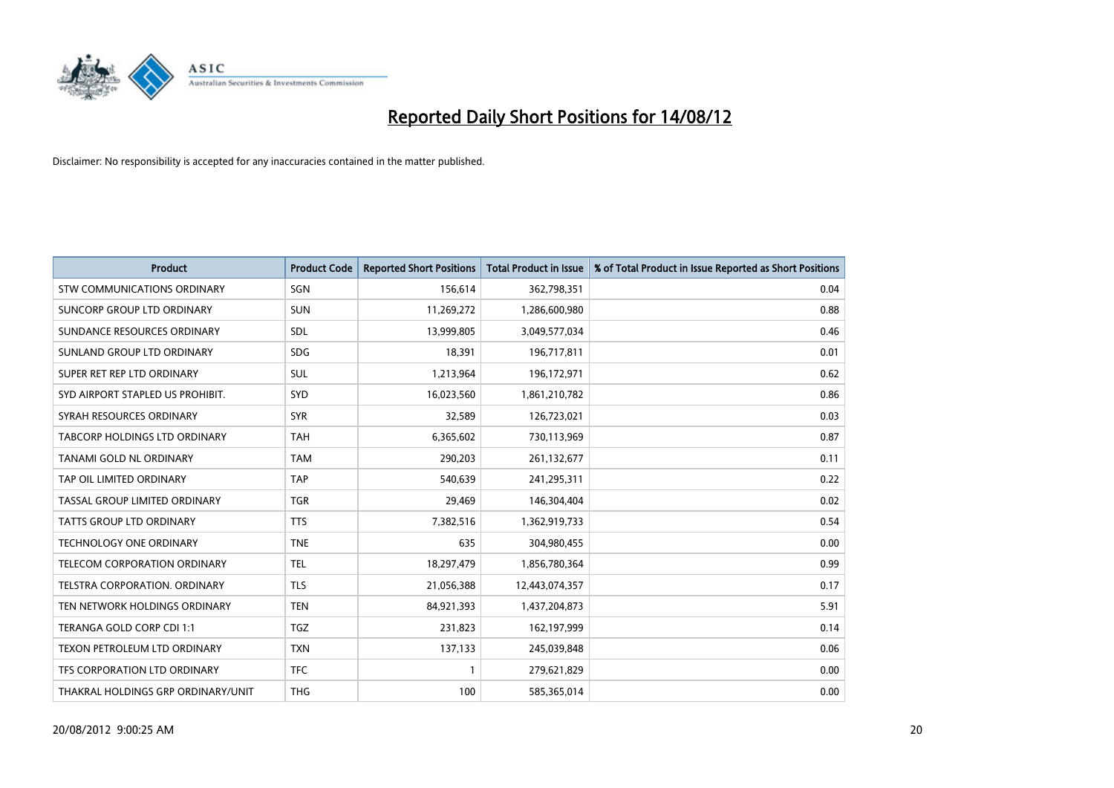

| <b>Product</b>                       | <b>Product Code</b> | <b>Reported Short Positions</b> | <b>Total Product in Issue</b> | % of Total Product in Issue Reported as Short Positions |
|--------------------------------------|---------------------|---------------------------------|-------------------------------|---------------------------------------------------------|
| STW COMMUNICATIONS ORDINARY          | SGN                 | 156,614                         | 362,798,351                   | 0.04                                                    |
| SUNCORP GROUP LTD ORDINARY           | <b>SUN</b>          | 11,269,272                      | 1,286,600,980                 | 0.88                                                    |
| SUNDANCE RESOURCES ORDINARY          | <b>SDL</b>          | 13,999,805                      | 3,049,577,034                 | 0.46                                                    |
| SUNLAND GROUP LTD ORDINARY           | <b>SDG</b>          | 18,391                          | 196,717,811                   | 0.01                                                    |
| SUPER RET REP LTD ORDINARY           | <b>SUL</b>          | 1,213,964                       | 196,172,971                   | 0.62                                                    |
| SYD AIRPORT STAPLED US PROHIBIT.     | SYD                 | 16,023,560                      | 1,861,210,782                 | 0.86                                                    |
| SYRAH RESOURCES ORDINARY             | <b>SYR</b>          | 32,589                          | 126,723,021                   | 0.03                                                    |
| TABCORP HOLDINGS LTD ORDINARY        | <b>TAH</b>          | 6,365,602                       | 730,113,969                   | 0.87                                                    |
| TANAMI GOLD NL ORDINARY              | <b>TAM</b>          | 290,203                         | 261,132,677                   | 0.11                                                    |
| TAP OIL LIMITED ORDINARY             | <b>TAP</b>          | 540,639                         | 241,295,311                   | 0.22                                                    |
| TASSAL GROUP LIMITED ORDINARY        | <b>TGR</b>          | 29,469                          | 146,304,404                   | 0.02                                                    |
| <b>TATTS GROUP LTD ORDINARY</b>      | <b>TTS</b>          | 7,382,516                       | 1,362,919,733                 | 0.54                                                    |
| TECHNOLOGY ONE ORDINARY              | <b>TNE</b>          | 635                             | 304,980,455                   | 0.00                                                    |
| TELECOM CORPORATION ORDINARY         | <b>TEL</b>          | 18,297,479                      | 1,856,780,364                 | 0.99                                                    |
| <b>TELSTRA CORPORATION, ORDINARY</b> | <b>TLS</b>          | 21,056,388                      | 12,443,074,357                | 0.17                                                    |
| TEN NETWORK HOLDINGS ORDINARY        | <b>TEN</b>          | 84,921,393                      | 1,437,204,873                 | 5.91                                                    |
| TERANGA GOLD CORP CDI 1:1            | <b>TGZ</b>          | 231,823                         | 162,197,999                   | 0.14                                                    |
| TEXON PETROLEUM LTD ORDINARY         | <b>TXN</b>          | 137,133                         | 245,039,848                   | 0.06                                                    |
| <b>TFS CORPORATION LTD ORDINARY</b>  | <b>TFC</b>          |                                 | 279,621,829                   | 0.00                                                    |
| THAKRAL HOLDINGS GRP ORDINARY/UNIT   | <b>THG</b>          | 100                             | 585,365,014                   | 0.00                                                    |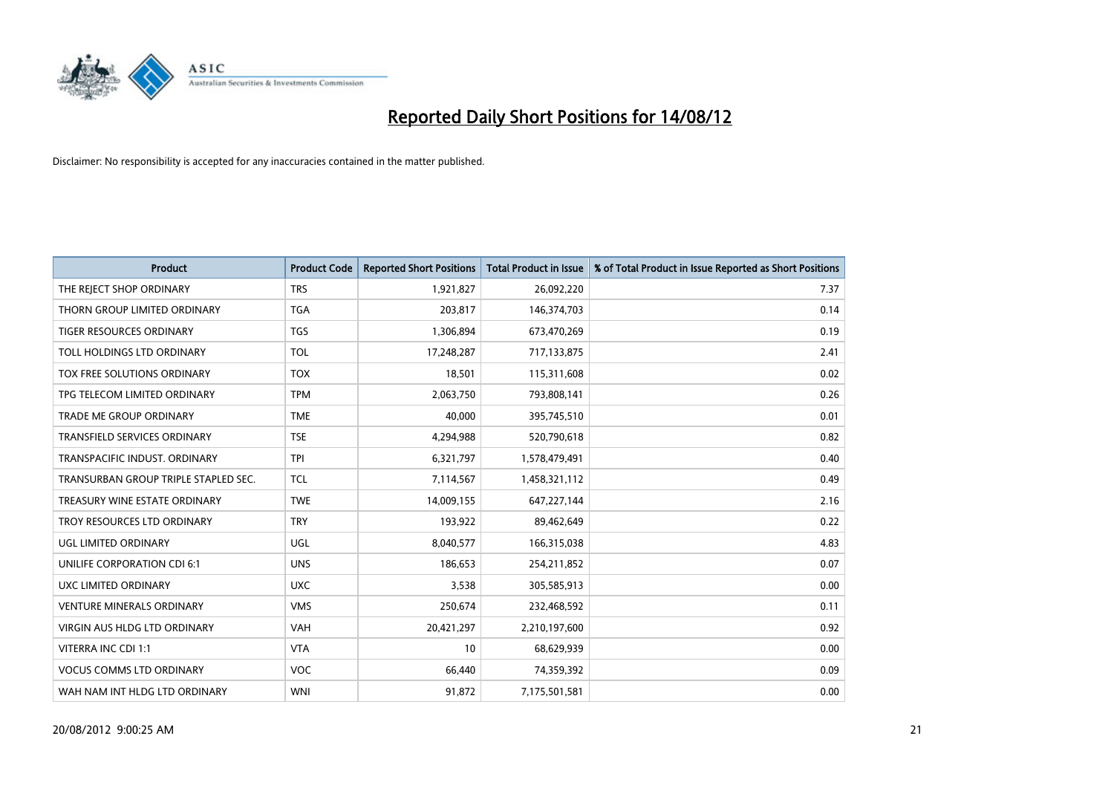

| <b>Product</b>                       | <b>Product Code</b> | <b>Reported Short Positions</b> | <b>Total Product in Issue</b> | % of Total Product in Issue Reported as Short Positions |
|--------------------------------------|---------------------|---------------------------------|-------------------------------|---------------------------------------------------------|
| THE REJECT SHOP ORDINARY             | <b>TRS</b>          | 1,921,827                       | 26,092,220                    | 7.37                                                    |
| THORN GROUP LIMITED ORDINARY         | <b>TGA</b>          | 203,817                         | 146,374,703                   | 0.14                                                    |
| <b>TIGER RESOURCES ORDINARY</b>      | <b>TGS</b>          | 1,306,894                       | 673,470,269                   | 0.19                                                    |
| TOLL HOLDINGS LTD ORDINARY           | <b>TOL</b>          | 17,248,287                      | 717,133,875                   | 2.41                                                    |
| TOX FREE SOLUTIONS ORDINARY          | <b>TOX</b>          | 18,501                          | 115,311,608                   | 0.02                                                    |
| TPG TELECOM LIMITED ORDINARY         | <b>TPM</b>          | 2,063,750                       | 793,808,141                   | 0.26                                                    |
| TRADE ME GROUP ORDINARY              | <b>TME</b>          | 40,000                          | 395,745,510                   | 0.01                                                    |
| TRANSFIELD SERVICES ORDINARY         | <b>TSE</b>          | 4,294,988                       | 520,790,618                   | 0.82                                                    |
| TRANSPACIFIC INDUST, ORDINARY        | <b>TPI</b>          | 6,321,797                       | 1,578,479,491                 | 0.40                                                    |
| TRANSURBAN GROUP TRIPLE STAPLED SEC. | <b>TCL</b>          | 7,114,567                       | 1,458,321,112                 | 0.49                                                    |
| TREASURY WINE ESTATE ORDINARY        | <b>TWE</b>          | 14,009,155                      | 647,227,144                   | 2.16                                                    |
| TROY RESOURCES LTD ORDINARY          | <b>TRY</b>          | 193,922                         | 89,462,649                    | 0.22                                                    |
| UGL LIMITED ORDINARY                 | UGL                 | 8,040,577                       | 166,315,038                   | 4.83                                                    |
| UNILIFE CORPORATION CDI 6:1          | <b>UNS</b>          | 186,653                         | 254,211,852                   | 0.07                                                    |
| UXC LIMITED ORDINARY                 | <b>UXC</b>          | 3,538                           | 305,585,913                   | 0.00                                                    |
| <b>VENTURE MINERALS ORDINARY</b>     | <b>VMS</b>          | 250,674                         | 232,468,592                   | 0.11                                                    |
| VIRGIN AUS HLDG LTD ORDINARY         | <b>VAH</b>          | 20,421,297                      | 2,210,197,600                 | 0.92                                                    |
| VITERRA INC CDI 1:1                  | <b>VTA</b>          | 10                              | 68,629,939                    | 0.00                                                    |
| <b>VOCUS COMMS LTD ORDINARY</b>      | <b>VOC</b>          | 66,440                          | 74,359,392                    | 0.09                                                    |
| WAH NAM INT HLDG LTD ORDINARY        | <b>WNI</b>          | 91,872                          | 7,175,501,581                 | 0.00                                                    |